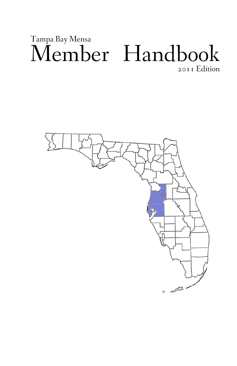# Member Handbook Tampa Bay Mensa 2011 Edition

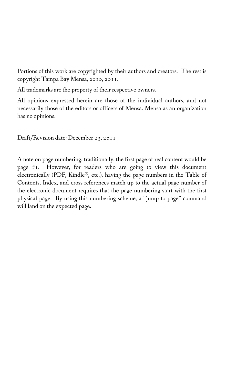Portions of this work are copyrighted by their authors and creators. The rest is copyright Tampa Bay Mensa, 2010, 2011.

All trademarks are the property of their respective owners.

All opinions expressed herein are those of the individual authors, and not necessarily those of the editors or officers of Mensa. Mensa as an organization has no opinions.

Draft/Revision date: December 23, 2011

A note on page numbering: traditionally, the first page of real content would be page #1. However, for readers who are going to view this document electronically (PDF, Kindle®, etc.), having the page numbers in the Table of Contents, Index, and cross-references match-up to the actual page number of the electronic document requires that the page numbering start with the first physical page. By using this numbering scheme, a "jump to page" command will land on the expected page.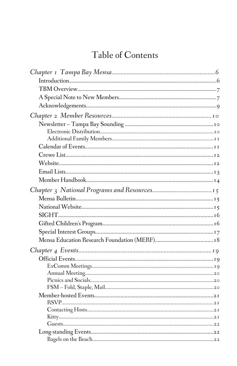# Table of Contents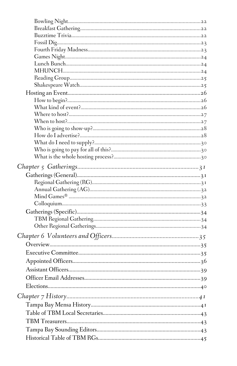| Elections | 40 |
|-----------|----|
|           |    |
|           |    |
|           |    |
|           |    |
|           |    |
|           |    |
|           |    |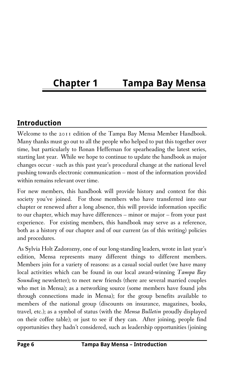# **Chapter 1 Tampa Bay Mensa**

### **Introduction**

Welcome to the 2011 edition of the Tampa Bay Mensa Member Handbook. Many thanks must go out to all the people who helped to put this together over time, but particularly to Ronan Heffernan for spearheading the latest series, starting last year. While we hope to continue to update the handbook as major changes occur - such as this past year's procedural change at the national level pushing towards electronic communication – most of the information provided within remains relevant over time.

For new members, this handbook will provide history and context for this society you've joined. For those members who have transferred into our chapter or renewed after a long absence, this will provide information specific to our chapter, which may have differences – minor or major – from your past experience. For existing members, this handbook may serve as a reference, both as a history of our chapter and of our current (as of this writing) policies and procedures.

As Sylvia Holt Zadorozny, one of our long-standing leaders, wrote in last year's edition, Mensa represents many different things to different members. Members join for a variety of reasons: as a casual social outlet (we have many local activities which can be found in our local award-winning *Tampa Bay Sounding* newsletter); to meet new friends (there are several married couples who met in Mensa); as a networking source (some members have found jobs through connections made in Mensa); for the group benefits available to members of the national group (discounts on insurance, magazines, books, travel, etc.); as a symbol of status (with the *Mensa Bulletin* proudly displayed on their coffee table); or just to see if they can. After joining, people find opportunities they hadn't considered, such as leadership opportunities (joining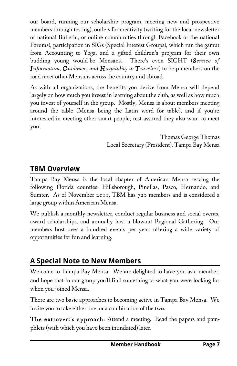our board, running our scholarship program, meeting new and prospective members through testing), outlets for creativity (writing for the local newsletter or national Bulletin, or online communities through Facebook or the national Forums), participation in SIGs (Special Interest Groups), which run the gamut from Accounting to Yoga, and a gifted children's program for their own budding young would-be Mensans. There's even SIGHT (*Service of Information, Guidance, and Hospitality to Travelers*) to help members on the road meet other Mensans across the country and abroad.

As with all organizations, the benefits you derive from Mensa will depend largely on how much you invest in learning about the club, as well as how much you invest of yourself in the group. Mostly, Mensa is about members meeting around the table (Mensa being the Latin word for table), and if you're interested in meeting other smart people, rest assured they also want to meet you!

> Thomas George Thomas Local Secretary (President), Tampa Bay Mensa

### **TBM Overview**

Tampa Bay Mensa is the local chapter of American Mensa serving the following Florida counties: Hillsborough, Pinellas, Pasco, Hernando, and Sumter. As of November 2011, TBM has 720 members and is considered a large group within American Mensa.

We publish a monthly newsletter, conduct regular business and social events, award scholarships, and annually host a blowout Regional Gathering. Our members host over a hundred events per year, offering a wide variety of opportunities for fun and learning.

### **A Special Note to New Members**

Welcome to Tampa Bay Mensa. We are delighted to have you as a member, and hope that in our group you'll find something of what you were looking for when you joined Mensa.

There are two basic approaches to becoming active in Tampa Bay Mensa. We invite you to take either one, or a combination of the two.

The extrovert's approach: Attend a meeting. Read the papers and pamphlets (with which you have been inundated) later.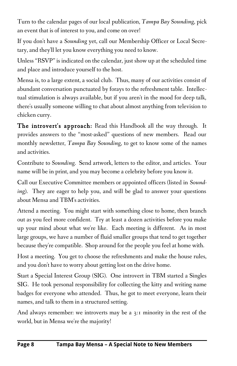Turn to the calendar pages of our local publication, *Tampa Bay Sounding*, pick an event that is of interest to you, and come on over!

If you don't have a *Sounding* yet, call our Membership Officer or Local Secretary, and they'll let you know everything you need to know.

Unless "RSVP" is indicated on the calendar, just show up at the scheduled time and place and introduce yourself to the host.

Mensa is, to a large extent, a social club. Thus, many of our activities consist of abundant conversation punctuated by forays to the refreshment table. Intellectual stimulation is always available, but if you aren't in the mood for deep talk, there's usually someone willing to chat about almost anything from television to chicken curry.

The introvert's approach: Read this Handbook all the way through. It provides answers to the "most-asked" questions of new members. Read our monthly newsletter, *Tampa Bay Sounding*, to get to know some of the names and activities.

Contribute to *Sounding*. Send artwork, letters to the editor, and articles. Your name will be in print, and you may become a celebrity before you know it.

Call our Executive Committee members or appointed officers (listed in *Sounding*). They are eager to help you, and will be glad to answer your questions about Mensa and TBM's activities.

Attend a meeting. You might start with something close to home, then branch out as you feel more confident. Try at least a dozen activities before you make up your mind about what we're like. Each meeting is different. As in most large groups, we have a number of fluid smaller groups that tend to get together because they're compatible. Shop around for the people you feel at home with.

Host a meeting. You get to choose the refreshments and make the house rules, and you don't have to worry about getting lost on the drive home.

Start a Special Interest Group (SIG). One introvert in TBM started a Singles SIG. He took personal responsibility for collecting the kitty and writing name badges for everyone who attended. Thus, he got to meet everyone, learn their names, and talk to them in a structured setting.

And always remember: we introverts may be a 3:1 minority in the rest of the world, but in Mensa we're the majority!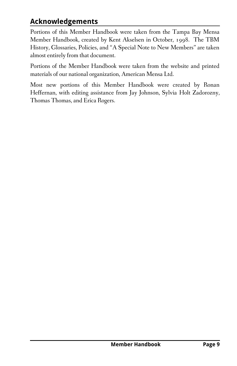### **Acknowledgements**

Portions of this Member Handbook were taken from the Tampa Bay Mensa Member Handbook, created by Kent Akselsen in October, 1998. The TBM History, Glossaries, Policies, and "A Special Note to New Members" are taken almost entirely from that document.

Portions of the Member Handbook were taken from the website and printed materials of our national organization, American Mensa Ltd.

Most new portions of this Member Handbook were created by Ronan Heffernan, with editing assistance from Jay Johnson, Sylvia Holt Zadorozny, Thomas Thomas, and Erica Rogers.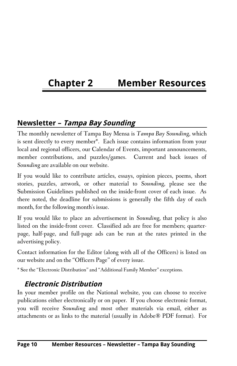# **Chapter 2 Member Resources**

#### **Newsletter – Tampa Bay Sounding**

The monthly newsletter of Tampa Bay Mensa is *Tampa Bay Sounding*, which is sent directly to every member\*. Each issue contains information from your local and regional officers, our Calendar of Events, important announcements, member contributions, and puzzles/games. Current and back issues of *Sounding* are available on our website.

If you would like to contribute articles, essays, opinion pieces, poems, short stories, puzzles, artwork, or other material to *Sounding*, please see the Submission Guidelines published on the inside-front cover of each issue. As there noted, the deadline for submissions is generally the fifth day of each month, for the following month's issue.

If you would like to place an advertisement in *Sounding*, that policy is also listed on the inside-front cover. Classified ads are free for members; quarterpage, half-page, and full-page ads can be run at the rates printed in the advertising policy.

Contact information for the Editor (along with all of the Officers) is listed on our website and on the "Officers Page" of every issue.

\* See the "Electronic Distribution" and "Additional Family Member" exceptions.

#### **Electronic Distribution**

In your member profile on the National website, you can choose to receive publications either electronically or on paper. If you choose electronic format, you will receive *Sounding* and most other materials via email, either as attachments or as links to the material (usually in Adobe® PDF format). For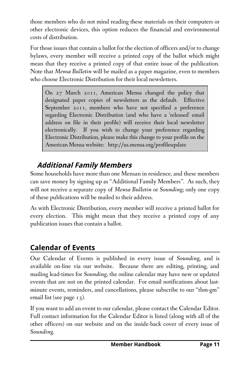those members who do not mind reading these materials on their computers or other electronic devices, this option reduces the financial and environmental costs of distribution.

For those issues that contain a ballot for the election of officers and/or to change bylaws, every member will receive a printed copy of the ballot which might mean that they receive a printed copy of that entire issue of the publication. Note that *Mensa Bulletin* will be mailed as a paper magazine, even to members who choose Electronic Distribution for their local newsletters.

On 27 March 2011, American Mensa changed the policy that designated paper copies of newsletters as the default. Effective September 2011, members who have not specified a preference regarding Electronic Distribution (and who have a 'released' email address on file in their profile) will receive their local newsletter electronically. If you wish to change your preference regarding Electronic Distribution, please make this change to your profile on the American Mensa website: http://us.mensa.org/profileupdate

## **Additional Family Members**

Some households have more than one Mensan in residence, and these members can save money by signing up as "Additional Family Members". As such, they will not receive a separate copy of *Mensa Bulletin* or *Sounding*; only one copy of these publications will be mailed to their address.

As with Electronic Distribution, every member will receive a printed ballot for every election. This might mean that they receive a printed copy of any publication issues that contain a ballot.

## **Calendar of Events**

Our Calendar of Events is published in every issue of *Sounding*, and is available on-line via our website. Because there are editing, printing, and mailing lead-times for *Sounding*, the online calendar may have new or updated events that are not on the printed calendar. For email notifications about lastminute events, reminders, and cancellations, please subscribe to our "tbm-gm" email list (see page 13).

If you want to add an event to our calendar, please contact the Calendar Editor. Full contact information for the Calendar Editor is listed (along with all of the other officers) on our website and on the inside-back cover of every issue of *Sounding*.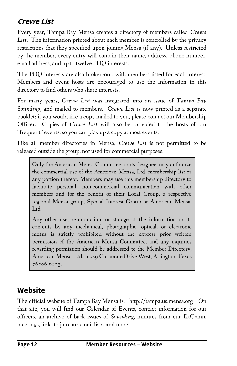### **Crewe List**

Every year, Tampa Bay Mensa creates a directory of members called *Crewe List*. The information printed about each member is controlled by the privacy restrictions that they specified upon joining Mensa (if any). Unless restricted by the member, every entry will contain their name, address, phone number, email address, and up to twelve PDQ interests.

The PDQ interests are also broken-out, with members listed for each interest. Members and event hosts are encouraged to use the information in this directory to find others who share interests.

For many years, *Crewe List* was integrated into an issue of *Tampa Bay Sounding*, and mailed to members. *Crewe List* is now printed as a separate booklet; if you would like a copy mailed to you, please contact our Membership Officer. Copies of *Crewe List* will also be provided to the hosts of our "frequent" events, so you can pick up a copy at most events.

Like all member directories in Mensa, *Crewe List* is not permitted to be released outside the group, nor used for commercial purposes.

Only the American Mensa Committee, or its designee, may authorize the commercial use of the American Mensa, Ltd. membership list or any portion thereof. Members may use this membership directory to facilitate personal, non-commercial communication with other members and for the benefit of their Local Group, a respective regional Mensa group, Special Interest Group or American Mensa, Ltd.

Any other use, reproduction, or storage of the information or its contents by any mechanical, photographic, optical, or electronic means is strictly prohibited without the express prior written permission of the American Mensa Committee, and any inquiries regarding permission should be addressed to the Member Directory, American Mensa, Ltd., 1229 Corporate Drive West, Arlington, Texas 76006-6103.

#### **Website**

The official website of Tampa Bay Mensa is: http://tampa.us.mensa.org On that site, you will find our Calendar of Events, contact information for our officers, an archive of back issues of *Sounding*, minutes from our ExComm meetings, links to join our email lists, and more.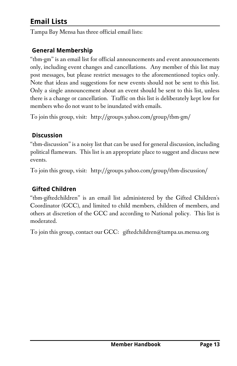## **Email Lists**

Tampa Bay Mensa has three official email lists:

#### **General Membership**

"tbm-gm" is an email list for official announcements and event announcements only, including event changes and cancellations. Any member of this list may post messages, but please restrict messages to the aforementioned topics only. Note that ideas and suggestions for new events should not be sent to this list. Only a single announcement about an event should be sent to this list, unless there is a change or cancellation. Traffic on this list is deliberately kept low for members who do not want to be inundated with emails.

To join this group, visit: http://groups.yahoo.com/group/tbm-gm/

#### **Discussion**

"tbm-discussion" is a noisy list that can be used for general discussion, including political flamewars. This list is an appropriate place to suggest and discuss new events.

To join this group, visit: http://groups.yahoo.com/group/tbm-discussion/

#### **Gifted Children**

"tbm-giftedchildren" is an email list administered by the Gifted Children's Coordinator (GCC), and limited to child members, children of members, and others at discretion of the GCC and according to National policy. This list is moderated.

To join this group, contact our GCC: giftedchildren@tampa.us.mensa.org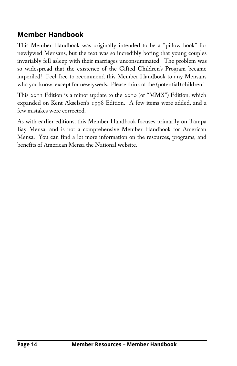### **Member Handbook**

This Member Handbook was originally intended to be a "pillow book" for newlywed Mensans, but the text was so incredibly boring that young couples invariably fell asleep with their marriages unconsummated. The problem was so widespread that the existence of the Gifted Children's Program became imperiled! Feel free to recommend this Member Handbook to any Mensans who you know, except for newlyweds. Please think of the (potential) children!

This 2011 Edition is a minor update to the 2010 (or "MMX") Edition, which expanded on Kent Akselsen's 1998 Edition. A few items were added, and a few mistakes were corrected.

As with earlier editions, this Member Handbook focuses primarily on Tampa Bay Mensa, and is not a comprehensive Member Handbook for American Mensa. You can find a lot more information on the resources, programs, and benefits of American Mensa the National website.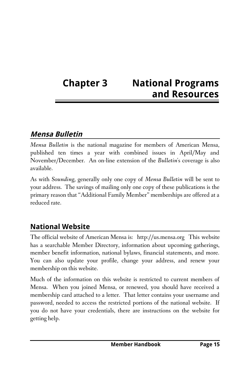# **Chapter 3 National Programs and Resources**

### **Mensa Bulletin**

*Mensa Bulletin* is the national magazine for members of American Mensa, published ten times a year with combined issues in April/May and November/December. An on-line extension of the *Bulletin*'s coverage is also available.

As with *Sounding*, generally only one copy of *Mensa Bulletin* will be sent to your address. The savings of mailing only one copy of these publications is the primary reason that "Additional Family Member" memberships are offered at a reduced rate.

### **National Website**

The official website of American Mensa is: http://us.mensa.org This website has a searchable Member Directory, information about upcoming gatherings, member benefit information, national bylaws, financial statements, and more. You can also update your profile, change your address, and renew your membership on this website.

Much of the information on this website is restricted to current members of Mensa. When you joined Mensa, or renewed, you should have received a membership card attached to a letter. That letter contains your username and password, needed to access the restricted portions of the national website. If you do not have your credentials, there are instructions on the website for getting help.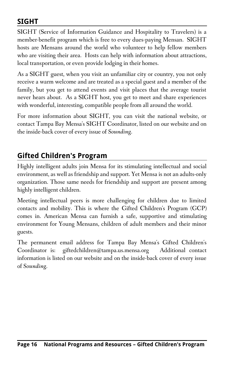### **SIGHT**

SIGHT (Service of Information Guidance and Hospitality to Travelers) is a member-benefit program which is free to every dues-paying Mensan. SIGHT hosts are Mensans around the world who volunteer to help fellow members who are visiting their area. Hosts can help with information about attractions, local transportation, or even provide lodging in their homes.

As a SIGHT guest, when you visit an unfamiliar city or country, you not only receive a warm welcome and are treated as a special guest and a member of the family, but you get to attend events and visit places that the average tourist never hears about. As a SIGHT host, you get to meet and share experiences with wonderful, interesting, compatible people from all around the world.

For more information about SIGHT, you can visit the national website, or contact Tampa Bay Mensa's SIGHT Coordinator, listed on our website and on the inside-back cover of every issue of *Sounding*.

### **Gifted Children's Program**

Highly intelligent adults join Mensa for its stimulating intellectual and social environment, as well as friendship and support. Yet Mensa is not an adults-only organization. Those same needs for friendship and support are present among highly intelligent children.

Meeting intellectual peers is more challenging for children due to limited contacts and mobility. This is where the Gifted Children's Program (GCP) comes in. American Mensa can furnish a safe, supportive and stimulating environment for Young Mensans, children of adult members and their minor guests.

The permanent email address for Tampa Bay Mensa's Gifted Children's Coordinator is: giftedchildren@tampa.us.mensa.org Additional contact information is listed on our website and on the inside-back cover of every issue of *Sounding*.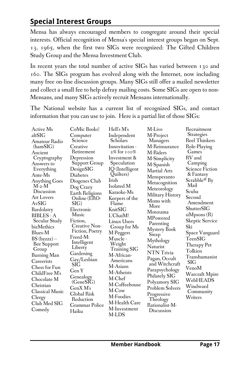## **Special Interest Groups**

Mensa has always encouraged members to congregate around their special interests. Official recognition of Mensa's special interest groups began on Sept. 13, 1965, when the first two SIGs were recognized: The Gifted Children Study Group and the Mensa Investment Club.

In recent years the total number of active SIGs has varied between 130 and 160. The SIGs program has evolved along with the Internet, now including many free on-line discussion groups. Many SIGs still offer a mailed newsletter and collect a small fee to help defray mailing costs. Some SIGs are open to non-Mensans, and many SIGs actively recruit Mensans internationally.

The National website has a current list of recognized SIGs, and contact information that you can use to join. Here is a partial list of those SIGs:

| Active Ms                 | CoMic Books!                     | Hell's M's                        | M-Live           | Recruitment              |
|---------------------------|----------------------------------|-----------------------------------|------------------|--------------------------|
| altSIG                    | Computer                         | Independent                       | M-Project        | <b>Strategies</b>        |
| Amateur Radio             | Science                          | Scholars                          | Managers         | <b>Reel Thinkers</b>     |
| (hamSIG)                  | Creative                         | Innovitation -                    | M-Reinsurance    | Role-Playing             |
| Ancient                   | Retirement                       | 2% for 100%                       | M-Riders         | Games                    |
| Cryptography              | Depression                       | Investment &                      | M-Simplicity     | RV and                   |
| Answers to                | Support Group                    | Speculation                       | M-Spanish        | Camping                  |
| Everything                | DesignSIG                        | IQ (Intelligent                   | Martial Arts     | <b>Science Fiction</b>   |
| Ante-Ms                   | <b>Diabetes</b>                  | Quilters)                         | Mensperanto      | & Fantasy                |
| <b>Anything Goes</b>      | Diogenes Club                    | Irish                             | Metacognition    | Scrabble <sup>®</sup> By |
| $M-2-M$                   | $\log$ Crazy                     | Isolated M                        | Meteorology      | Mail                     |
| Discussion                | <b>Earth Religions</b>           | Karaoke-Ms                        | Military History | Scuba                    |
| <b>Art Lovers</b>         | Online (ERO-                     | Keepers of the                    | Moms with        | Second                   |
| AvSIG                     | SIG)                             | Flame                             | More             | Amendment                |
| Bardolatry                | Electronic                       | KnitSIG                           | Motorama         | ShutterSIG               |
| BIBLES - A                | Music                            | L'ChaiM!                          | MPowered         | siMpsons (R)             |
| Secular Study             | Fiction,                         | Linux Users                       | Parenting        | <b>Skeptic Service</b>   |
| bizMethics                | Creative Non-<br>Fiction, Poetry | Group for Ms                      | Mystery Book     | Ski                      |
| Blues-M                   | Freed-M:                         | M Peggers                         | Swap             | Space Vanguard           |
| BS (bzzzz) --             | Intelligent                      | M'uscle -                         | Mythology        | TeenSIG                  |
| Bee Support               | Liberty                          | Weight                            | Naturist         | Therapy Pet              |
| Group                     | Gardening                        | <b>Training SIG</b><br>M-African- | NTN Trivia       | Tolkien                  |
| Burning Man<br>Careerists | Gay/Lesbian                      | Americans                         | Pagan, Occult    | Transhumanist            |
| Chess for Fun             | SIG                              | M-Asians                          | and Witchcraft   | SIG                      |
| ChildFree M's             | Gen Y                            | M-Atheists                        | Parapsychology   | VenoM                    |
|                           | Genealogy                        | M-Chef                            | Philately SIG    | Warcraft Mpire           |
| Chocolate M               | (GeneSIG)                        | M-Coffeehouse                     | Polyamory SIG    | WebHEADS                 |
| Christian                 | $GenX$ M's                       | M-Cow                             | Problem Solvers  | Windward                 |
| <b>Classical Music</b>    | Global Risk                      | M-Foodies                         | Progressive      | Community                |
| Clergy                    | Reduction                        | M-Health Care                     | Theology         | Writers                  |
| Club Med SIG              | Grammar Police                   |                                   | Rationalist-M-   |                          |
| Comedy                    | Haiku                            | M-Investment                      | Discussion       |                          |
|                           |                                  | M-LDS                             |                  |                          |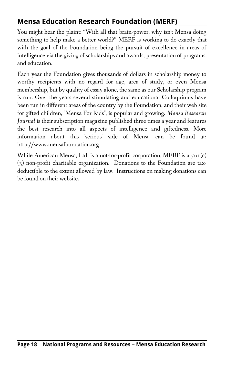## **Mensa Education Research Foundation (MERF)**

You might hear the plaint: "With all that brain-power, why isn't Mensa doing something to help make a better world?" MERF is working to do exactly that with the goal of the Foundation being the pursuit of excellence in areas of intelligence via the giving of scholarships and awards, presentation of programs, and education.

Each year the Foundation gives thousands of dollars in scholarship money to worthy recipients with no regard for age, area of study, or even Mensa membership, but by quality of essay alone, the same as our Scholarship program is run. Over the years several stimulating and educational Colloquiums have been run in different areas of the country by the Foundation, and their web site for gifted children, "Mensa For Kids", is popular and growing. *Mensa Research Journal* is their subscription magazine published three times a year and features the best research into all aspects of intelligence and giftedness. More information about this 'serious' side of Mensa can be found at: http://www.mensafoundation.org

While American Mensa, Ltd. is a not-for-profit corporation, MERF is a  $\varsigma \circ \iota(c)$ (3) non-profit charitable organization. Donations to the Foundation are taxdeductible to the extent allowed by law. Instructions on making donations can be found on their website.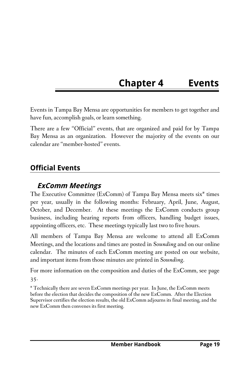# **Chapter 4 Events**

Events in Tampa Bay Mensa are opportunities for members to get together and have fun, accomplish goals, or learn something.

There are a few "Official" events, that are organized and paid for by Tampa Bay Mensa as an organization. However the majority of the events on our calendar are "member-hosted" events.

### **Official Events**

#### **ExComm Meetings**

The Executive Committee (ExComm) of Tampa Bay Mensa meets six\* times per year, usually in the following months: February, April, June, August, October, and December. At these meetings the ExComm conducts group business, including hearing reports from officers, handling budget issues, appointing officers, etc. These meetings typically last two to five hours.

All members of Tampa Bay Mensa are welcome to attend all ExComm Meetings, and the locations and times are posted in *Sounding* and on our online calendar. The minutes of each ExComm meeting are posted on our website, and important items from those minutes are printed in *Sounding*.

For more information on the composition and duties of the ExComm, see page 35.

\* Technically there are seven ExComm meetings per year. In June, the ExComm meets before the election that decides the composition of the new ExComm. After the Election Supervisor certifies the election results, the old ExComm adjourns its final meeting, and the new ExComm then convenes its first meeting.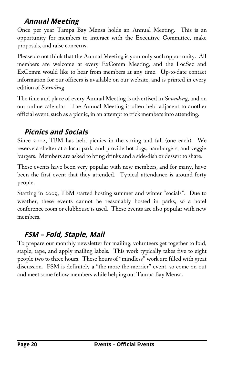### **Annual Meeting**

Once per year Tampa Bay Mensa holds an Annual Meeting. This is an opportunity for members to interact with the Executive Committee, make proposals, and raise concerns.

Please do not think that the Annual Meeting is your only such opportunity. All members are welcome at every ExComm Meeting, and the LocSec and ExComm would like to hear from members at any time. Up-to-date contact information for our officers is available on our website, and is printed in every edition of *Sounding*.

The time and place of every Annual Meeting is advertised in *Sounding*, and on our online calendar. The Annual Meeting is often held adjacent to another official event, such as a picnic, in an attempt to trick members into attending.

### **Picnics and Socials**

Since 2002, TBM has held picnics in the spring and fall (one each). We reserve a shelter at a local park, and provide hot dogs, hamburgers, and veggie burgers. Members are asked to bring drinks and a side-dish or dessert to share.

These events have been very popular with new members, and for many, have been the first event that they attended. Typical attendance is around forty people.

Starting in 2009, TBM started hosting summer and winter "socials". Due to weather, these events cannot be reasonably hosted in parks, so a hotel conference room or clubhouse is used. These events are also popular with new members.

## **FSM – Fold, Staple, Mail**

To prepare our monthly newsletter for mailing, volunteers get together to fold, staple, tape, and apply mailing labels. This work typically takes five to eight people two to three hours. These hours of "mindless" work are filled with great discussion. FSM is definitely a "the-more-the-merrier" event, so come on out and meet some fellow members while helping out Tampa Bay Mensa.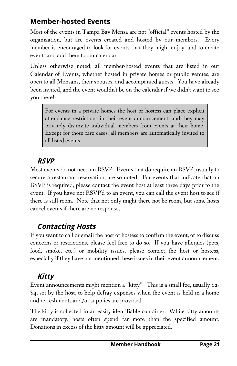### **Member-hosted Events**

Most of the events in Tampa Bay Mensa are not "official" events hosted by the organization, but are events created and hosted by our members. Every member is encouraged to look for events that they might enjoy, and to create events and add them to our calendar.

Unless otherwise noted, all member-hosted events that are listed in our Calendar of Events, whether hosted in private homes or public venues, are open to all Mensans, their spouses, and accompanied guests. You have already been invited, and the event wouldn't be on the calendar if we didn't want to see you there!

For events in a private homes the host or hostess can place explicit attendance restrictions in their event announcement, and they may privately dis-invite individual members from events at their home. Except for those rare cases, all members are automatically invited to all listed events.

### **RSVP**

Most events do not need an RSVP. Events that do require an RSVP, usually to secure a restaurant reservation, are so noted. For events that indicate that an RSVP is required, please contact the event host at least three days prior to the event. If you have not RSVP'd to an event, you can call the event host to see if there is still room. Note that not only might there not be room, but some hosts cancel events if there are no responses.

## **Contacting Hosts**

If you want to call or email the host or hostess to confirm the event, or to discuss concerns or restrictions, please feel free to do so. If you have allergies (pets, food, smoke, etc.) or mobility issues, please contact the host or hostess, especially if they have not mentioned these issues in their event announcement.

## **Kitty**

Event announcements might mention a "kitty". This is a small fee, usually \$2- \$4, set by the host, to help defray expenses when the event is held in a home and refreshments and/or supplies are provided.

The kitty is collected in an easily identifiable container. While kitty amounts are mandatory, hosts often spend far more than the specified amount. Donations in excess of the kitty amount will be appreciated.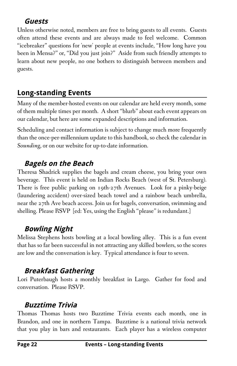### **Guests**

Unless otherwise noted, members are free to bring guests to all events. Guests often attend these events and are always made to feel welcome. Common "icebreaker" questions for 'new' people at events include, "How long have you been in Mensa?" or, "Did you just join?" Aside from such friendly attempts to learn about new people, no one bothers to distinguish between members and guests.

## **Long-standing Events**

Many of the member-hosted events on our calendar are held every month, some of them multiple times per month. A short "blurb" about each event appears on our calendar, but here are some expanded descriptions and information.

Scheduling and contact information is subject to change much more frequently than the once-per-millennium update to this handbook, so check the calendar in *Sounding*, or on our website for up-to-date information.

### **Bagels on the Beach**

Theresa Shadrick supplies the bagels and cream cheese, you bring your own beverage. This event is held on Indian Rocks Beach (west of St. Petersburg). There is free public parking on 19th-27th Avenues. Look for a pinky-beige (laundering accident) over-sized beach towel and a rainbow beach umbrella, near the 27th Ave beach access. Join us for bagels, conversation, swimming and shelling. Please RSVP [ed: Yes, using the English "please" is redundant.]

## **Bowling Night**

Melissa Stephens hosts bowling at a local bowling alley. This is a fun event that has so far been successful in not attracting any skilled bowlers, so the scores are low and the conversation is key. Typical attendance is four to seven.

# **Breakfast Gathering**

Lori Puterbaugh hosts a monthly breakfast in Largo. Gather for food and conversation. Please RSVP.

## **Buzztime Trivia**

Thomas Thomas hosts two Buzztime Trivia events each month, one in Brandon, and one in northern Tampa. Buzztime is a national trivia network that you play in bars and restaurants. Each player has a wireless computer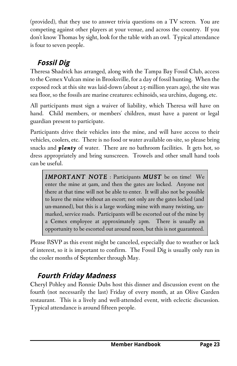(provided), that they use to answer trivia questions on a TV screen. You are competing against other players at your venue, and across the country. If you don't know Thomas by sight, look for the table with an owl. Typical attendance is four to seven people.

# **Fossil Dig**

Theresa Shadrick has arranged, along with the Tampa Bay Fossil Club, access to the Cemex Vulcan mine in Brooksville, for a day of fossil hunting. When the exposed rock at this site was laid-down (about 25-million years ago), the site was sea floor, so the fossils are marine creatures: echinoids, sea urchins, dugong, etc.

All participants must sign a waiver of liability, which Theresa will have on hand. Child members, or members' children, must have a parent or legal guardian present to participate.

Participants drive their vehicles into the mine, and will have access to their vehicles, coolers, etc. There is no food or water available on-site, so please bring snacks and *plenty* of water. There are no bathroom facilities. It gets hot, so dress appropriately and bring sunscreen. Trowels and other small hand tools can be useful.

*IMPORTANT NOTE* : Participants *MUST* be on time! We enter the mine at 9am, and then the gates are locked. Anyone not there at that time will not be able to enter. It will also not be possible to leave the mine without an escort; not only are the gates locked (and un-manned), but this is a large working mine with many twisting, unmarked, service roads. Participants will be escorted out of the mine by a Cemex employee at approximately 2pm. There is usually an opportunity to be escorted out around noon, but this is not guaranteed.

Please RSVP as this event might be canceled, especially due to weather or lack of interest, so it is important to confirm. The Fossil Dig is usually only run in the cooler months of September through May.

# **Fourth Friday Madness**

Cheryl Pohley and Ronnie Dubs host this dinner and discussion event on the fourth (not necessarily the last) Friday of every month, at an Olive Garden restaurant. This is a lively and well-attended event, with eclectic discussion. Typical attendance is around fifteen people.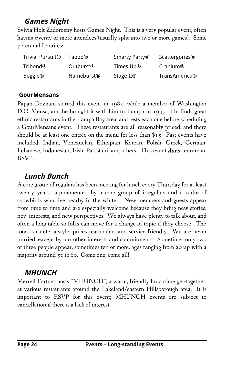### **Games Night**

Sylvia Holt Zadorozny hosts Games Night. This is a very popular event, often having twenty or more attendees (usually split into two or more games). Some perennial favorites:

| Trivial Pursuit <sup>®</sup> | Taboo®                 | Smarty Party®         | Scattergories <sup>®</sup> |
|------------------------------|------------------------|-----------------------|----------------------------|
| Tribond®                     | Outburst <sup>®</sup>  | Times Up®             | Cranium®                   |
| <b>Boggle®</b>               | Nameburst <sup>®</sup> | Stage II <sup>®</sup> | TransAmerica®              |

#### **GourMensans**

Papan Devnani started this event in 1982, while a member of Washington D.C. Mensa, and he brought it with him to Tampa in 1997. He finds great ethnic restaurants in the Tampa Bay area, and tests each one before scheduling a GourMensans event. These restaurants are all reasonably priced, and there should be at least one entrée on the menu for less than \$15. Past events have included: Indian, Venezuelan, Ethiopian, Korean, Polish, Greek, German, Lebanese, Indonesian, Irish, Pakistani, and others. This event *does* require an RSVP.

### **Lunch Bunch**

A core group of regulars has been meeting for lunch every Thursday for at least twenty years, supplemented by a core group of irregulars and a cadre of snowbirds who live nearby in the winter. New members and guests appear from time to time and are especially welcome because they bring new stories, new interests, and new perspectives. We always have plenty to talk about, and often a long table so folks can move for a change of topic if they choose. The food is cafeteria-style, prices reasonable, and service friendly. We are never hurried, except by our other interests and commitments. Sometimes only two or three people appear, sometimes ten or more, ages ranging from 20 up with a majority around 50 to 80. Come one, come all!

### **MHUNCH**

Merrell Fortner hosts "MHUNCH", a warm, friendly lunchtime get-together, at various restaurants around the Lakeland/eastern Hillsborough area. It is important to RSVP for this event; MHUNCH events are subject to cancellation if there is a lack of interest.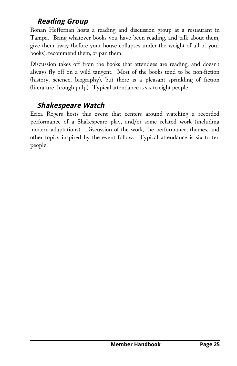### **Reading Group**

Ronan Heffernan hosts a reading and discussion group at a restaurant in Tampa. Bring whatever books you have been reading, and talk about them, give them away (before your house collapses under the weight of all of your books), recommend them, or pan them.

Discussion takes off from the books that attendees are reading, and doesn't always fly off on a wild tangent. Most of the books tend to be non-fiction (history, science, biography), but there is a pleasant sprinkling of fiction (literature through pulp). Typical attendance is six to eight people.

### **Shakespeare Watch**

Erica Rogers hosts this event that centers around watching a recorded performance of a Shakespeare play, and/or some related work (including modern adaptations). Discussion of the work, the performance, themes, and other topics inspired by the event follow. Typical attendance is six to ten people.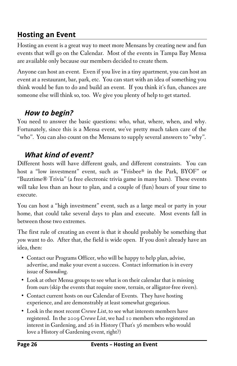### **Hosting an Event**

Hosting an event is a great way to meet more Mensans by creating new and fun events that will go on the Calendar. Most of the events in Tampa Bay Mensa are available only because our members decided to create them.

Anyone can host an event. Even if you live in a tiny apartment, you can host an event at a restaurant, bar, park, etc. You can start with an idea of something you think would be fun to do and build an event. If you think it's fun, chances are someone else will think so, too. We give you plenty of help to get started.

### **How to begin?**

You need to answer the basic questions: who, what, where, when, and why. Fortunately, since this is a Mensa event, we've pretty much taken care of the "who". You can also count on the Mensans to supply several answers to "why".

### **What kind of event?**

Different hosts will have different goals, and different constraints. You can host a "low investment" event, such as "Frisbee® in the Park, BYOF" or "Buzztime® Trivia" (a free electronic trivia game in many bars). These events will take less than an hour to plan, and a couple of (fun) hours of your time to execute.

You can host a "high investment" event, such as a large meal or party in your home, that could take several days to plan and execute. Most events fall in between those two extremes.

The first rule of creating an event is that it should probably be something that *you* want to do. After that, the field is wide open. If you don't already have an idea, then:

- Contact our Programs Officer, who will be happy to help plan, advise, advertise, and make your event a success. Contact information is in every issue of *Sounding*.
- Look at other Mensa groups to see what is on their calendar that is missing from ours (skip the events that require snow, terrain, or alligator-free rivers).
- Contact current hosts on our Calendar of Events. They have hosting experience, and are demonstrably at least somewhat gregarious.
- Look in the most recent *Crewe List*, to see what interests members have registered. In the 2009 *Crewe List*, we had 10 members who registered an interest in Gardening, and 26 in History (That's 36 members who would love a History of Gardening event, right?)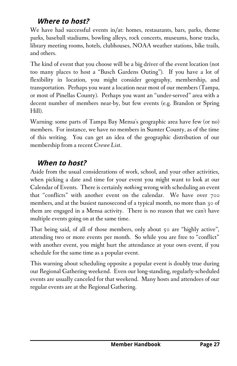### **Where to host?**

We have had successful events in/at: homes, restaurants, bars, parks, theme parks, baseball stadiums, bowling alleys, rock concerts, museums, horse tracks, library meeting rooms, hotels, clubhouses, NOAA weather stations, bike trails, and others.

The kind of event that you choose will be a big driver of the event location (not too many places to host a "Busch Gardens Outing"). If you have a lot of flexibility in location, you might consider geography, membership, and transportation. Perhaps you want a location near most of our members (Tampa, or most of Pinellas County). Perhaps you want an "under-served" area with a decent number of members near-by, but few events (e.g. Brandon or Spring Hill).

Warning: some parts of Tampa Bay Mensa's geographic area have few (or no) members. For instance, we have no members in Sumter County, as of the time of this writing. You can get an idea of the geographic distribution of our membership from a recent *Crewe List*.

#### **When to host?**

Aside from the usual considerations of work, school, and your other activities, when picking a date and time for your event you might want to look at our Calendar of Events. There is certainly *nothing* wrong with scheduling an event that "conflicts" with another event on the calendar. We have over 700 members, and at the busiest nanosecond of a typical month, no more than 30 of them are engaged in a Mensa activity. There is no reason that we can't have multiple events going on at the same time.

That being said, of all of those members, only about 50 are "highly active", attending two or more events per month. So while you are free to "conflict" with another event, you might hurt the attendance at your own event, if you schedule for the same time as a popular event.

This warning about scheduling opposite a popular event is doubly true during our Regional Gathering weekend. Even our long-standing, regularly-scheduled events are usually canceled for that weekend. Many hosts and attendees of our regular events are at the Regional Gathering.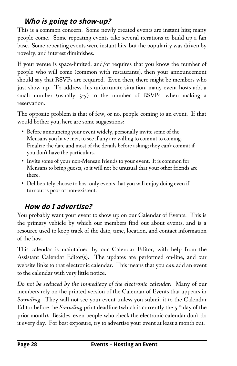### **Who is going to show-up?**

This is a common concern. Some newly created events are instant hits; many people come. Some repeating events take several iterations to build-up a fan base. Some repeating events were instant hits, but the popularity was driven by novelty, and interest diminishes.

If your venue is space-limited, and/or requires that you know the number of people who will come (common with restaurants), then your announcement should say that RSVPs are required. Even then, there might be members who just show up. To address this unfortunate situation, many event hosts add a small number (usually 3-5) to the number of RSVPs, when making a reservation.

The opposite problem is that of few, or no, people coming to an event. If that would bother you, here are some suggestions:

- Before announcing your event widely, personally invite some of the Mensans you have met, to see if any are willing to commit to coming. Finalize the date and most of the details before asking; they can't commit if you don't have the particulars.
- Invite some of your non-Mensan friends to your event. It is common for Mensans to bring guests, so it will not be unusual that your other friends are there.
- Deliberately choose to host only events that you will enjoy doing even if turnout is poor or non-existent.

## **How do I advertise?**

You probably want your event to show up on our Calendar of Events. This is the primary vehicle by which our members find out about events, and is a resource used to keep track of the date, time, location, and contact information of the host.

This calendar is maintained by our Calendar Editor, with help from the Assistant Calendar Editor(s). The updates are performed on-line, and our website links to that electronic calendar. This means that you *can* add an event to the calendar with very little notice.

*Do not be seduced by the immediacy of the electronic calendar!* Many of our members rely on the printed version of the Calendar of Events that appears in *Sounding*. They will not see your event unless you submit it to the Calendar Editor before the *Sounding* print deadline (which is currently the 5<sup>th</sup> day of the prior month). Besides, even people who check the electronic calendar don't do it every day. For best exposure, try to advertise your event at least a month out.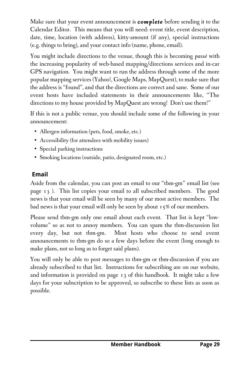Make sure that your event announcement is *complete* before sending it to the Calendar Editor. This means that you will need: event title, event description, date, time, location (with address), kitty-amount (if any), special instructions (e.g. things to bring), and your contact info (name, phone, email).

You might include directions to the venue, though this is becoming *passé* with the increasing popularity of web-based mapping/directions services and in-car GPS navigation. You might want to run the address through some of the more popular mapping services (Yahoo!, Google Maps, MapQuest), to make sure that the address is "found", and that the directions are correct and sane. Some of our event hosts have included statements in their announcements like, "The directions to my house provided by MapQuest are wrong! Don't use them!"

If this is not a public venue, you should include some of the following in your announcement:

- Allergen information (pets, food, smoke, etc.)
- Accessibility (for attendees with mobility issues)
- Special parking instructions
- Smoking locations (outside, patio, designated room, etc.)

#### **Email**

Aside from the calendar, you can post an email to our "tbm-gm" email list (see page 13 ). This list copies your email to all subscribed members. The good news is that your email will be seen by many of our most active members. The bad news is that your email will only be seen by about 15% of our members.

Please send tbm-gm only one email about each event. That list is kept "lowvolume" so as not to annoy members. You can spam the tbm-discussion list every day, but not tbm-gm. Most hosts who choose to send event announcements to tbm-gm do so a few days before the event (long enough to make plans, not so long as to forget said plans).

You will only be able to post messages to tbm-gm or tbm-discussion if you are already subscribed to that list. Instructions for subscribing are on our website, and information is provided on page 13 of this handbook. It might take a few days for your subscription to be approved, so subscribe to these lists as soon as possible.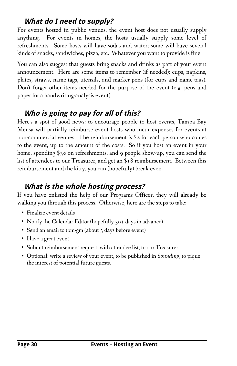#### **What do I need to supply?**

For events hosted in public venues, the event host does not usually supply anything. For events in homes, the hosts usually supply some level of refreshments. Some hosts will have sodas and water; some will have several kinds of snacks, sandwiches, pizza, etc. Whatever you want to provide is fine.

You can also suggest that guests bring snacks and drinks as part of your event announcement. Here are some items to remember (if needed): cups, napkins, plates, straws, name-tags, utensils, and marker-pens (for cups and name-tags). Don't forget other items needed for the purpose of the event (e.g. pens and paper for a handwriting-analysis event).

### **Who is going to pay for all of this?**

Here's a spot of good news: to encourage people to host events, Tampa Bay Mensa will partially reimburse event hosts who incur expenses for events at non-commercial venues. The reimbursement is \$2 for each person who comes to the event, up to the amount of the costs. So if you host an event in your home, spending \$30 on refreshments, and 9 people show-up, you can send the list of attendees to our Treasurer, and get an \$18 reimbursement. Between this reimbursement and the kitty, you can (hopefully) break-even.

### **What is the whole hosting process?**

If you have enlisted the help of our Programs Officer, they will already be walking you through this process. Otherwise, here are the steps to take:

- Finalize event details
- Notify the Calendar Editor (hopefully 30+ days in advance)
- Send an email to tbm-gm (about 3 days before event)
- Have a great event
- Submit reimbursement request, with attendee list, to our Treasurer
- Optional: write a review of your event, to be published in *Sounding*, to pique the interest of potential future guests.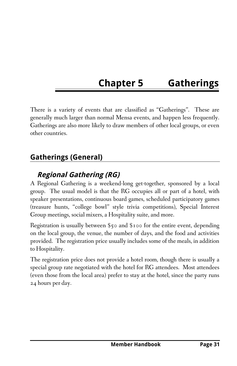# **Chapter 5 Gatherings**

There is a variety of events that are classified as "Gatherings". These are generally much larger than normal Mensa events, and happen less frequently. Gatherings are also more likely to draw members of other local groups, or even other countries.

### **Gatherings (General)**

#### **Regional Gathering (RG)**

A Regional Gathering is a weekend-long get-together, sponsored by a local group. The usual model is that the RG occupies all or part of a hotel, with speaker presentations, continuous board games, scheduled participatory games (treasure hunts, "college bowl" style trivia competitions), Special Interest Group meetings, social mixers, a Hospitality suite, and more.

Registration is usually between \$50 and \$100 for the entire event, depending on the local group, the venue, the number of days, and the food and activities provided. The registration price usually includes some of the meals, in addition to Hospitality.

The registration price does not provide a hotel room, though there is usually a special group rate negotiated with the hotel for RG attendees. Most attendees (even those from the local area) prefer to stay at the hotel, since the party runs 24 hours per day.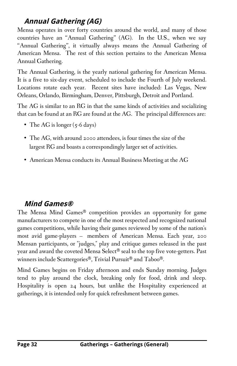### **Annual Gathering (AG)**

Mensa operates in over forty countries around the world, and many of those countries have an "Annual Gathering" (AG). In the U.S., when we say "Annual Gathering", it virtually always means the Annual Gathering of American Mensa. The rest of this section pertains to the American Mensa Annual Gathering.

The Annual Gathering, is the yearly national gathering for American Mensa. It is a five to six-day event, scheduled to include the Fourth of July weekend. Locations rotate each year. Recent sites have included: Las Vegas, New Orleans, Orlando, Birmingham, Denver, Pittsburgh, Detroit and Portland.

The AG is similar to an RG in that the same kinds of activities and socializing that can be found at an RG are found at the AG. The principal differences are:

- The AG is longer (5-6 days)
- The AG, with around 2000 attendees, is four times the size of the largest RG and boasts a correspondingly larger set of activities.
- American Mensa conducts its Annual Business Meeting at the AG

### **Mind Games®**

The Mensa Mind Games® competition provides an opportunity for game manufacturers to compete in one of the most respected and recognized national games competitions, while having their games reviewed by some of the nation's most avid game-players — members of American Mensa. Each year, 200 Mensan participants, or "judges," play and critique games released in the past year and award the coveted Mensa Select® seal to the top five vote-getters. Past winners include Scattergories®, Trivial Pursuit® and Taboo®.

Mind Games begins on Friday afternoon and ends Sunday morning. Judges tend to play around the clock, breaking only for food, drink and sleep. Hospitality is open 24 hours, but unlike the Hospitality experienced at gatherings, it is intended only for quick refreshment between games.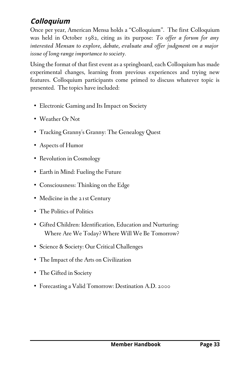## **Colloquium**

Once per year, American Mensa holds a "Colloquium". The first Colloquium was held in October 1982, citing as its purpose: *To offer a forum for any interested Mensan to explore, debate, evaluate and offer judgment on a major issue of long-range importance to society.*

Using the format of that first event as a springboard, each Colloquium has made experimental changes, learning from previous experiences and trying new features. Colloquium participants come primed to discuss whatever topic is presented. The topics have included:

- Electronic Gaming and Its Impact on Society
- Weather Or Not
- Tracking Granny's Granny: The Genealogy Quest
- Aspects of Humor
- Revolution in Cosmology
- Earth in Mind: Fueling the Future
- Consciousness: Thinking on the Edge
- Medicine in the 21st Century
- The Politics of Politics
- Gifted Children: Identification, Education and Nurturing: Where Are We Today? Where Will We Be Tomorrow?
- Science & Society: Our Critical Challenges
- The Impact of the Arts on Civilization
- The Gifted in Society
- Forecasting a Valid Tomorrow: Destination A.D. 2000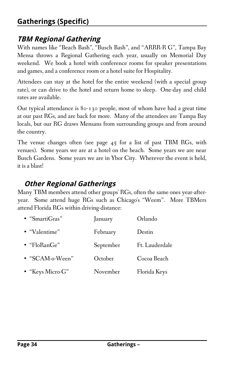### **Gatherings (Specific)**

#### **TBM Regional Gathering**

With names like "Beach Bash", "Busch Bash", and "ARRR-R G", Tampa Bay Mensa throws a Regional Gathering each year, usually on Memorial Day weekend. We book a hotel with conference rooms for speaker presentations and games, and a conference room or a hotel suite for Hospitality.

Attendees can stay at the hotel for the entire weekend (with a special group rate), or can drive to the hotel and return home to sleep. One-day and child rates are available.

Our typical attendance is 80-130 people, most of whom have had a great time at our past RGs, and are back for more. Many of the attendees are Tampa Bay locals, but our RG draws Mensans from surrounding groups and from around the country.

The venue changes often (see page 45 for a list of past TBM RGs, with venues). Some years we are at a hotel on the beach. Some years we are near Busch Gardens. Some years we are in Ybor City. Wherever the event is held, it is a blast!

### **Other Regional Gatherings**

Many TBM members attend other groups' RGs, often the same ones year-afteryear. Some attend huge RGs such as Chicago's "Weem". More TBMers attend Florida RGs within driving-distance:

| • "SmartiGras"   | January   | Orlando        |
|------------------|-----------|----------------|
| • "Valentime"    | February  | Destin         |
| • "FloRanGe"     | September | Ft. Lauderdale |
| • "SCAM-o-Ween"  | October   | Cocoa Beach    |
| • "Keys Micro-G" | November  | Florida Keys   |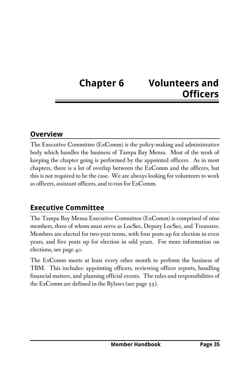# **Chapter 6 Volunteers and Officers**

#### **Overview**

The Executive Committee (ExComm) is the policy-making and administrative body which handles the business of Tampa Bay Mensa. Most of the work of keeping the chapter going is performed by the appointed officers. As in most chapters, there is a lot of overlap between the ExComm and the officers, but this is not required to be the case. We are always looking for volunteers to work as officers, assistant officers, and to run for ExComm.

#### **Executive Committee**

The Tampa Bay Mensa Executive Committee (ExComm) is comprised of nine members, three of whom must serve as LocSec, Deputy LocSec, and Treasurer. Members are elected for two-year terms, with four posts up for election in even years, and five posts up for election in odd years. For more information on elections, see page 40.

The ExComm meets at least every other month to perform the business of TBM. This includes: appointing officers, reviewing officer reports, handling financial matters, and planning official events. The rules and responsibilities of the ExComm are defined in the Bylaws (see page 55).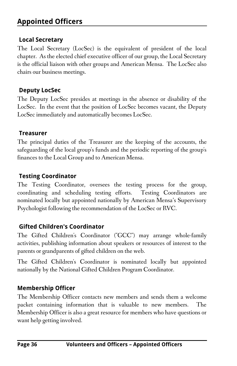### **Appointed Officers**

#### **Local Secretary**

The Local Secretary (LocSec) is the equivalent of president of the local chapter. As the elected chief executive officer of our group, the Local Secretary is the official liaison with other groups and American Mensa. The LocSec also chairs our business meetings.

#### **Deputy LocSec**

The Deputy LocSec presides at meetings in the absence or disability of the LocSec. In the event that the position of LocSec becomes vacant, the Deputy LocSec immediately and automatically becomes LocSec.

#### **Treasurer**

The principal duties of the Treasurer are the keeping of the accounts, the safeguarding of the local group's funds and the periodic reporting of the group's finances to the Local Group and to American Mensa.

#### **Testing Coordinator**

The Testing Coordinator, oversees the testing process for the group, coordinating and scheduling testing efforts. Testing Coordinators are nominated locally but appointed nationally by American Mensa's Supervisory Psychologist following the recommendation of the LocSec or RVC.

#### **Gifted Children's Coordinator**

The Gifted Children's Coordinator ("GCC") may arrange whole-family activities, publishing information about speakers or resources of interest to the parents or grandparents of gifted children on the web.

The Gifted Children's Coordinator is nominated locally but appointed nationally by the National Gifted Children Program Coordinator.

#### **Membership Officer**

The Membership Officer contacts new members and sends them a welcome packet containing information that is valuable to new members. The Membership Officer is also a great resource for members who have questions or want help getting involved.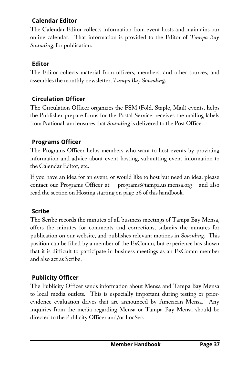### **Calendar Editor**

The Calendar Editor collects information from event hosts and maintains our online calendar. That information is provided to the Editor of *Tampa Bay Sounding*, for publication.

### **Editor**

The Editor collects material from officers, members, and other sources, and assembles the monthly newsletter, *Tampa Bay Sounding*.

# **Circulation Officer**

The Circulation Officer organizes the FSM (Fold, Staple, Mail) events, helps the Publisher prepare forms for the Postal Service, receives the mailing labels from National, and ensures that *Sounding* is delivered to the Post Office.

## **Programs Officer**

The Programs Officer helps members who want to host events by providing information and advice about event hosting, submitting event information to the Calendar Editor, etc.

If you have an idea for an event, or would like to host but need an idea, please contact our Programs Officer at: programs@tampa.us.mensa.org and also read the section on Hosting starting on page 26 of this handbook.

# **Scribe**

The Scribe records the minutes of all business meetings of Tampa Bay Mensa, offers the minutes for comments and corrections, submits the minutes for publication on our website, and publishes relevant motions in *Sounding*. This position can be filled by a member of the ExComm, but experience has shown that it is difficult to participate in business meetings as an ExComm member and also act as Scribe.

# **Publicity Officer**

The Publicity Officer sends information about Mensa and Tampa Bay Mensa to local media outlets. This is especially important during testing or priorevidence evaluation drives that are announced by American Mensa. Any inquiries from the media regarding Mensa or Tampa Bay Mensa should be directed to the Publicity Officer and/or LocSec.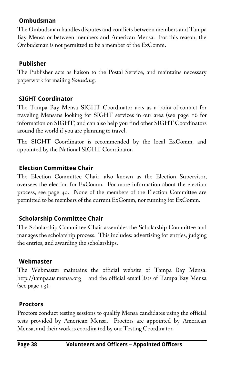#### **Ombudsman**

The Ombudsman handles disputes and conflicts between members and Tampa Bay Mensa or between members and American Mensa. For this reason, the Ombudsman is not permitted to be a member of the ExComm.

#### **Publisher**

The Publisher acts as liaison to the Postal Service, and maintains necessary paperwork for mailing *Sounding*.

#### **SIGHT Coordinator**

The Tampa Bay Mensa SIGHT Coordinator acts as a point-of-contact for traveling Mensans looking for SIGHT services in our area (see page 16 for information on SIGHT) and can also help you find other SIGHT Coordinators around the world if you are planning to travel.

The SIGHT Coordinator is recommended by the local ExComm, and appointed by the National SIGHT Coordinator.

#### **Election Committee Chair**

The Election Committee Chair, also known as the Election Supervisor, oversees the election for ExComm. For more information about the election process, see page 40. None of the members of the Election Committee are permitted to be members of the current ExComm, nor running for ExComm.

### **Scholarship Committee Chair**

The Scholarship Committee Chair assembles the Scholarship Committee and manages the scholarship process. This includes: advertising for entries, judging the entries, and awarding the scholarships.

#### **Webmaster**

The Webmaster maintains the official website of Tampa Bay Mensa: http://tampa.us.mensa.org and the official email lists of Tampa Bay Mensa (see page  $13$ ).

#### **Proctors**

Proctors conduct testing sessions to qualify Mensa candidates using the official tests provided by American Mensa. Proctors are appointed by American Mensa, and their work is coordinated by our Testing Coordinator.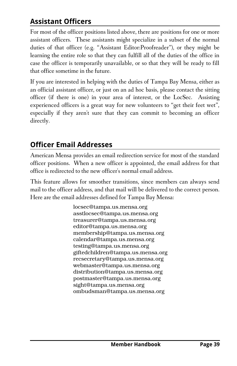# **Assistant Officers**

For most of the officer positions listed above, there are positions for one or more assistant officers. These assistants might specialize in a subset of the normal duties of that officer (e.g. "Assistant Editor:Proofreader"), or they might be learning the entire role so that they can fulfill all of the duties of the office in case the officer is temporarily unavailable, or so that they will be ready to fill that office sometime in the future.

If you are interested in helping with the duties of Tampa Bay Mensa, either as an official assistant officer, or just on an ad hoc basis, please contact the sitting officer (if there is one) in your area of interest, or the LocSec. Assisting experienced officers is a great way for new volunteers to "get their feet wet", especially if they aren't sure that they can commit to becoming an officer directly.

# **Officer Email Addresses**

American Mensa provides an email redirection service for most of the standard officer positions. When a new officer is appointed, the email address for that office is redirected to the new officer's normal email address.

This feature allows for smoother transitions, since members can always send mail to the officer address, and that mail will be delivered to the correct person. Here are the email addresses defined for Tampa Bay Mensa:

> locsec@tampa.us.mensa.org asstlocsec@tampa.us.mensa.org treasurer@tampa.us.mensa.org editor@tampa.us.mensa.org membership@tampa.us.mensa.org calendar@tampa.us.mensa.org testing@tampa.us.mensa.org giftedchildren@tampa.us.mensa.org recsecretary@tampa.us.mensa.org webmaster@tampa.us.mensa.org distribution@tampa.us.mensa.org postmaster@tampa.us.mensa.org sight@tampa.us.mensa.org ombudsman@tampa.us.mensa.org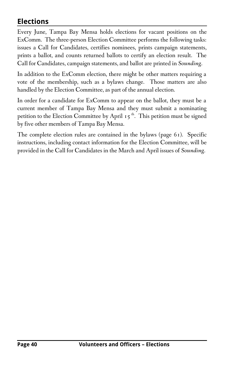# **Elections**

Every June, Tampa Bay Mensa holds elections for vacant positions on the ExComm. The three-person Election Committee performs the following tasks: issues a Call for Candidates, certifies nominees, prints campaign statements, prints a ballot, and counts returned ballots to certify an election result. The Call for Candidates, campaign statements, and ballot are printed in *Sounding*.

In addition to the ExComm election, there might be other matters requiring a vote of the membership, such as a bylaws change. Those matters are also handled by the Election Committee, as part of the annual election.

In order for a candidate for ExComm to appear on the ballot, they must be a current member of Tampa Bay Mensa and they must submit a nominating petition to the Election Committee by April  $15<sup>th</sup>$ . This petition must be signed by five other members of Tampa Bay Mensa.

The complete election rules are contained in the bylaws (page 61). Specific instructions, including contact information for the Election Committee, will be provided in the Call for Candidates in the March and April issues of *Sounding*.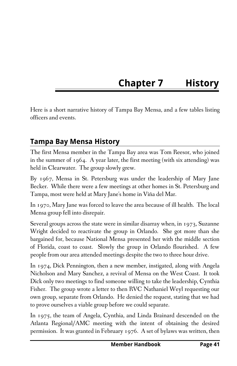# **Chapter 7 History**

Here is a short narrative history of Tampa Bay Mensa, and a few tables listing officers and events.

# **Tampa Bay Mensa History**

The first Mensa member in the Tampa Bay area was Tom Reesor, who joined in the summer of 1964. A year later, the first meeting (with six attending) was held in Clearwater. The group slowly grew.

By 1967, Mensa in St. Petersburg was under the leadership of Mary Jane Becker. While there were a few meetings at other homes in St. Petersburg and Tampa, most were held at Mary Jane's home in Viña del Mar.

In 1970, Mary Jane was forced to leave the area because of ill health. The local Mensa group fell into disrepair.

Several groups across the state were in similar disarray when, in 1973, Suzanne Wright decided to reactivate the group in Orlando. She got more than she bargained for, because National Mensa presented her with the middle section of Florida, coast to coast. Slowly the group in Orlando flourished. A few people from our area attended meetings despite the two to three hour drive.

In 1974, Dick Pennington, then a new member, instigated, along with Angela Nicholson and Mary Sanchez, a revival of Mensa on the West Coast. It took Dick only two meetings to find someone willing to take the leadership, Cynthia Fisher. The group wrote a letter to then RVC Nathaniel Weyl requesting our own group, separate from Orlando. He denied the request, stating that we had to prove ourselves a viable group before we could separate.

In 1975, the team of Angela, Cynthia, and Linda Brainard descended on the Atlanta Regional/AMC meeting with the intent of obtaining the desired permission. It was granted in February 1976. A set of bylaws was written, then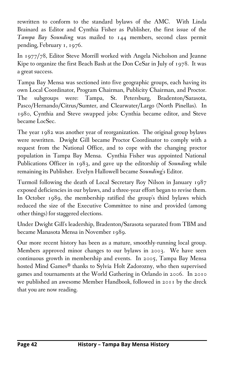rewritten to conform to the standard bylaws of the AMC. With Linda Brainard as Editor and Cynthia Fisher as Publisher, the first issue of the *Tampa Bay Sounding* was mailed to 144 members, second class permit pending, February 1, 1976.

In 1977/78, Editor Steve Morrill worked with Angela Nicholson and Jeanne Kipe to organize the first Beach Bash at the Don CeSar in July of 1978. It was a great success.

Tampa Bay Mensa was sectioned into five geographic groups, each having its own Local Coordinator, Program Chairman, Publicity Chairman, and Proctor. The subgroups were: Tampa, St. Petersburg, Bradenton/Sarasota, Pasco/Hernando/Citrus/Sumter, and Clearwater/Largo (North Pinellas). In 1980, Cynthia and Steve swapped jobs: Cynthia became editor, and Steve became LocSec.

The year 1982 was another year of reorganization. The original group bylaws were rewritten. Dwight Gill became Proctor Coordinator to comply with a request from the National Office, and to cope with the changing proctor population in Tampa Bay Mensa. Cynthia Fisher was appointed National Publications Officer in 1983, and gave up the editorship of *Sounding* while remaining its Publisher. Evelyn Hallowell became *Sounding's* Editor.

Turmoil following the death of Local Secretary Roy Nilson in January 1987 exposed deficiencies in our bylaws, and a three-year effort began to revise them. In October 1989, the membership ratified the group's third bylaws which reduced the size of the Executive Committee to nine and provided (among other things) for staggered elections.

Under Dwight Gill's leadership, Bradenton/Sarasota separated from TBM and became Manasota Mensa in November 1989.

Our more recent history has been as a mature, smoothly-running local group. Members approved minor changes to our bylaws in 2003. We have seen continuous growth in membership and events. In 2005, Tampa Bay Mensa hosted Mind Games® thanks to Sylvia Holt Zadorozny, who then supervised games and tournaments at the World Gathering in Orlando in 2006. In 2010 we published an awesome Member Handbook, followed in 2011 by the dreck that you are now reading.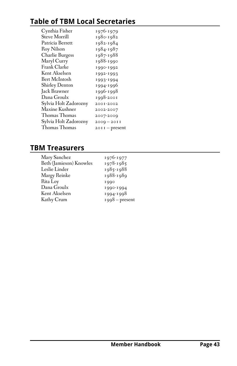# **Table of TBM Local Secretaries**

| Cynthia Fisher        | 1976-1979      |
|-----------------------|----------------|
| Steve Morrill         | 1980-1982      |
| Patricia Berrett      | 1982-1984      |
| <b>Roy Nilson</b>     | 1984-1987      |
| Charlie Burgess       | 1987-1988      |
| Maryl Curry           | 1988-1990      |
| Frank Clarke          | 1990-1992      |
| Kent Akselsen         | 1992-1993      |
| Bert McIntosh         | 1993-1994      |
| <b>Shirley Denton</b> | 1994-1996      |
| Jack Brawner          | 1996-1998      |
| Dana Groulx           | 1998-2001      |
| Sylvia Holt Zadorozny | 2001-2002      |
| Maxine Kushner        | 2002-2007      |
| Thomas Thomas         | 2007-2009      |
| Sylvia Holt Zadorozny | $2009 - 2011$  |
| Thomas Thomas         | 20II - present |
|                       |                |

# **TBM Treasurers**

| Mary Sanchez            | 1976-1977        |
|-------------------------|------------------|
| Beth (Jamieson) Knowles | 1978-1985        |
| Leslie Linder           | 1985-1988        |
| Margy Reinke            | 1988-1989        |
| Rita Loy                | 1990             |
| Dana Groulx             | 1990-1994        |
| Kent Akselsen           | 1994-1998        |
| Kathy Crum              | $1998 - present$ |
|                         |                  |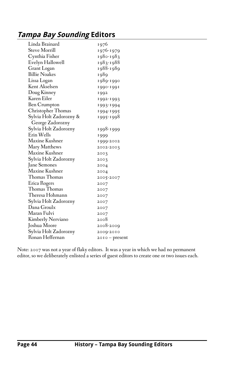# **Tampa Bay Sounding Editors**

| Linda Brainard                      | 1976                   |
|-------------------------------------|------------------------|
| Steve Morrill                       |                        |
| Cynthia Fisher                      | 1976-1979<br>1980-1983 |
|                                     |                        |
| Evelyn Hallowell                    | 1983-1988              |
| Grant Logan<br><b>Billie Noakes</b> | 1988-1989              |
|                                     | 1989                   |
| Lissa Logan                         | 1989-1990              |
| Kent Akselsen                       | 1990-1991              |
| Doug Kinney                         | 1992                   |
| Karen Eiler                         | 1992-1993              |
| Ben Crumpton                        | 1993-1994              |
| Christopher Thomas                  | 1994-1995              |
| Sylvia Holt Zadorozny &             | 1995-1998              |
| George Zadorozny                    |                        |
| Sylvia Holt Zadorozny               | 1998-1999              |
| Erin Wells                          | 1999                   |
| Maxine Kushner                      | 1999-2002              |
| Mary Matthews                       | 2002-2003              |
| Maxine Kushner                      | 2003                   |
| Sylvia Holt Zadorozny               | 2003                   |
| Jane Semones                        | 2004                   |
| Maxine Kushner                      | 2004                   |
| Thomas Thomas                       | 2005-2007              |
| Erica Rogers                        | 2007                   |
| Thomas Thomas                       | 2007                   |
| Theresa Hohmann                     | 2007                   |
| Sylvia Holt Zadorozny               | 2007                   |
| Dana Groulx                         | 2007                   |
| Maran Fulvi                         | 2007                   |
| Kimberly Nerviano                   | 2008                   |
| Joshua Moore                        | 2008-2009              |
| Sylvia Holt Zadorozny               | 2009-2010              |
| Ronan Heffernan                     | $20I0 - present$       |
|                                     |                        |

Note: 2007 was not a year of flaky editors. It was a year in which we had no permanent editor, so we deliberately enlisted a series of guest editors to create one or two issues each.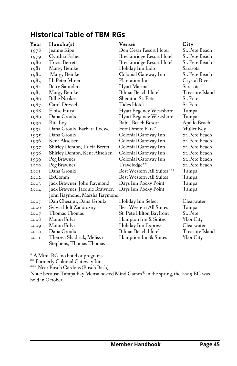# **Historical Table of TBM RGs**

| Year | Honeho(s)                      | Venue                          | City             |
|------|--------------------------------|--------------------------------|------------------|
| 1978 | Jeanne Kipe                    | Don Cesar Resort Hotel         | St. Pete Beach   |
| 1979 | Cynthia Fisher                 | Breckinridge Resort Hotel      | St. Pete Beach   |
| 1980 | Tricia Berrett                 | Breckinridge Resort Hotel      | St. Pete Beach   |
| 1981 | Margy Reinke                   | Holiday Inn Lido               | Sarasota         |
| 1982 | Margy Reinke                   | Colonial Gateway Inn           | St. Pete Beach   |
| 1983 | H. Peter Miner                 | Plantation Inn                 | Crystal River    |
| 1984 | <b>Betty Saunders</b>          | Hyatt Marina                   | Sarasota         |
| 1985 | Margy Reinke                   | Bilmar Beach Hotel             | Treasure Island  |
| 1986 | <b>Billie Noakes</b>           | Sheraton St. Pete              | St. Pete         |
| 1987 | Carol Dressel                  | Tides Hotel                    | St. Pete         |
| 1988 | Eloise Hurst                   | <b>Hyatt Regency Westshore</b> | Tampa            |
| 1989 | Dana Groulx                    | <b>Hyatt Regency Westshore</b> | Tampa            |
| 1990 | Rita Loy                       | Bahia Beach Resort             | Apollo Beach     |
| 1992 | Dana Groulx, Barbara Loewe     | Fort Desoto Park*              | Mullet Key       |
| 1995 | Dana Groulx                    | Colonial Gateway Inn           | St. Pete Beach   |
| 1996 | Kent Akselsen                  | Colonial Gateway Inn           | St. Pete Beach   |
| 1997 | Shirley Denton, Tricia Berret  | Colonial Gateway Inn           | St. Pete Beach   |
| 1998 | Shirley Denton, Kent Akselsen  | Colonial Gateway Inn           | St. Pete Beach   |
| 1999 | Peg Brawner                    | Colonial Gateway Inn           | St. Pete Beach   |
| 2000 | Peg Brawner                    | Travelodge <sup>**</sup>       | St. Pete Beach   |
| 200I | Dana Groulx                    | Best Western All Suites***     | Tampa            |
| 2002 | ExComm                         | <b>Best Western All Suites</b> | Tampa            |
| 2003 | Jack Brawner, John Raymond     | Days Inn Rocky Point           | Tampa            |
| 2004 | Jack Brawner, Jacquie Brawner, | Days Inn Rocky Point           | Tampa            |
|      | John Raymond, Marsha Raymond   |                                |                  |
| 2005 | Dan Chesnut, Dana Groulx       | Holiday Inn Select             | Clearwater       |
| 2006 | Sylvia Holt Zadorozny          | Best Western All Suites        | Tampa            |
| 2007 | Thomas Thomas                  | St. Pete Hilton Bayfront       | St. Pete         |
| 2008 | Maran Fulvi                    | Hampton Inn & Suites           | Ybor City        |
| 2009 | Maran Fulvi                    | Holiday Inn Express            | Clearwater       |
| 20I0 | Dana Groulx                    | Bilmar Beach Hotel             | Treasure Island  |
| 20I  | Theresa Shadrick, Melissa      | Hamption Inn & Suites          | <b>Ybor City</b> |
|      | Stephens, Thomas Thomas        |                                |                  |

\* A Mini- RG, no hotel or programs

\*\* Formerly Colonial Gateway Inn

\*\*\* Near Busch Gardens (Busch Bash)

Note: because Tampa Bay Mensa hosted Mind Games® in the spring, the 2005 RG was held in October.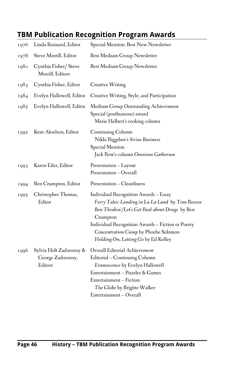# **TBM Publication Recognition Program Awards**

| 1976 | Linda Brainard, Editor                                  | Special Mention: Best New Newsletter                                                                                                                                                                                                                                                        |
|------|---------------------------------------------------------|---------------------------------------------------------------------------------------------------------------------------------------------------------------------------------------------------------------------------------------------------------------------------------------------|
| 1978 | Steve Morrill, Editor                                   | Best Medium Group Newsletter                                                                                                                                                                                                                                                                |
| 1980 | Cynthia Fisher/Steve<br>Morrill, Editors                | Best Medium Group Newsletter                                                                                                                                                                                                                                                                |
| 1983 | Cynthia Fisher, Editor                                  | <b>Creative Writing</b>                                                                                                                                                                                                                                                                     |
| 1984 | Evelyn Hallowell, Editor                                | Creative Writing, Style, and Participation                                                                                                                                                                                                                                                  |
| 1985 | Evelyn Hallowell, Editor                                | Medium Group Outstanding Achievement<br>Special (posthumous) award<br>Marie Halbert's cooking column                                                                                                                                                                                        |
| 1992 | Kent Akselsen, Editor                                   | Continuing Column<br>Nikki Riggsbee's Sirius Business<br><b>Special Mention</b><br>Jack Row's column Omnium Gatherum                                                                                                                                                                        |
| 1993 | Karen Eiler, Editor                                     | Presentation - Layout<br>Presentation - Overall                                                                                                                                                                                                                                             |
| 1994 | Ben Crumpton, Editor                                    | Presentation - Cleanliness                                                                                                                                                                                                                                                                  |
| 1995 | Christopher Thomas,<br>Editor                           | Individual Recognition Awards - Essay<br>Ferry Tales: Landing in La-La Land by Tom Reesor<br>Ben Thinkin'/Let's Get Real about Drugs by Ben<br>Crumpton<br>Individual Recognition Awards - Fiction or Poetry<br>Concentration Camp by Phoebe Solomon<br>Holding On, Letting Go by Ed Kelley |
| 1996 | Sylvia Holt Zadorozny &<br>George Zadorozny,<br>Editors | Overall Editorial Achievement<br>Editorial – Continuing Column<br>Evanescence by Evelyn Hallowell<br>Entertainment - Puzzles & Games<br>Entertainment – Fiction<br>The Globe by Brigitte Walker<br>Entertainment - Overall                                                                  |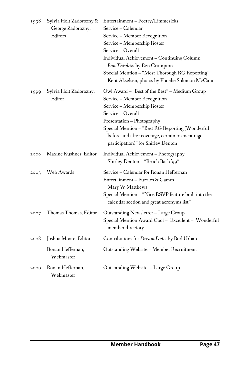| 1998 | Sylvia Holt Zadorozny &<br>George Zadorozny,<br>Editors | Entertainment - Poetry/Limmericks<br>Service - Calendar<br>Service – Member Recognition<br>Service – Membership Roster<br>Service - Overall<br>Individual Achievement - Continuing Column<br>Ben Thinkin' by Ben Crumpton<br>Special Mention - "Most Thorough RG Reporting"<br>Kent Akselsen, photos by Phoebe Solomon McCann |
|------|---------------------------------------------------------|-------------------------------------------------------------------------------------------------------------------------------------------------------------------------------------------------------------------------------------------------------------------------------------------------------------------------------|
| 1999 | Sylvia Holt Zadorozny,<br>Editor                        | Owl Award – "Best of the Best" – Medium Group<br>Service – Member Recognition<br>Service - Membership Roster<br>Service - Overall<br>Presentation - Photography<br>Special Mention - "Best RG Reporting (Wonderful<br>before and after coverage, certain to encourage<br>participation)" for Shirley Denton                   |
| 2000 | Maxine Kushner, Editor                                  | Individual Achievement - Photography<br>"Shirley Denton – "Beach Bash '99"                                                                                                                                                                                                                                                    |
| 2003 | Web Awards                                              | Service - Calendar for Ronan Heffernan<br>Entertainment - Puzzles & Games<br>Mary W Matthews<br>Special Mention - "Nice RSVP feature built into the<br>calendar section and great acronyms list"                                                                                                                              |
| 2007 | Thomas Thomas, Editor                                   | Outstanding Newsletter - Large Group<br>Special Mention Award Cool - Excellent - Wonderful<br>member directory                                                                                                                                                                                                                |
| 2008 | Joshua Moore, Editor                                    | Contributions for Dream Date by Bud Urban                                                                                                                                                                                                                                                                                     |
|      | Ronan Heffernan,<br>Webmaster                           | Outstanding Website - Member Recruitment                                                                                                                                                                                                                                                                                      |
| 2009 | Ronan Heffernan,<br>Webmaster                           | Outstanding Website – Large Group                                                                                                                                                                                                                                                                                             |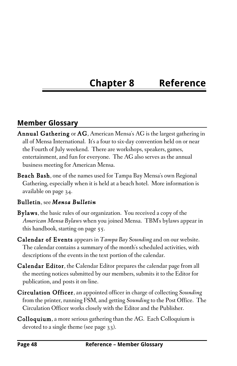# **Chapter 8 Reference**

# **Member Glossary**

- Annual Gathering or AG, American Mensa's AG is the largest gathering in all of Mensa International. It's a four to six-day convention held on or near the Fourth of July weekend. There are workshops, speakers, games, entertainment, and fun for everyone. The AG also serves as the annual business meeting for American Mensa.
- Beach Bash, one of the names used for Tampa Bay Mensa's own Regional Gathering, especially when it is held at a beach hotel. More information is available on page 34.

#### Bulletin, see *Mensa Bulletin*

- Bylaws, the basic rules of our organization. You received a copy of the *American Mensa Bylaws* when you joined Mensa. TBM's bylaws appear in this handbook, starting on page 55.
- Calendar of Events appears in *Tampa Bay Sounding* and on our website. The calendar contains a summary of the month's scheduled activities, with descriptions of the events in the text portion of the calendar.
- Calendar Editor, the Calendar Editor prepares the calendar page from all the meeting notices submitted by our members, submits it to the Editor for publication, and posts it on-line.
- Circulation Officer, an appointed officer in charge of collecting *Sounding* from the printer, running FSM, and getting *Sounding* to the Post Office. The Circulation Officer works closely with the Editor and the Publisher.
- Colloquium, a more serious gathering than the AG. Each Colloquium is devoted to a single theme (see page 33).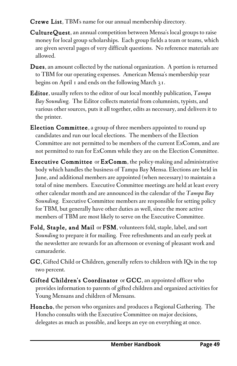- Crewe List, TBM's name for our annual membership directory*.*
- CultureQuest, an annual competition between Mensa's local groups to raise money for local group scholarships. Each group fields a team or teams, which are given several pages of very difficult questions. No reference materials are allowed.
- **Dues**, an amount collected by the national organization. A portion is returned to TBM for our operating expenses. American Mensa's membership year begins on April 1 and ends on the following March 31.
- Editor, usually refers to the editor of our local monthly publication, *Tampa Bay Sounding.* The Editor collects material from columnists, typists, and various other sources, puts it all together, edits as necessary, and delivers it to the printer.
- Election Committee, a group of three members appointed to round up candidates and run our local elections. The members of the Election Committee are not permitted to be members of the current ExComm, and are not permitted to run for ExComm while they are on the Election Committee.
- Executive Committee or ExComm, the policy-making and administrative body which handles the business of Tampa Bay Mensa. Elections are held in June, and additional members are appointed (when necessary) to maintain a total of nine members. Executive Committee meetings are held at least every other calendar month and are announced in the calendar of the *Tampa Bay Sounding.* Executive Committee members are responsible for setting policy for TBM, but generally have other duties as well, since the more active members of TBM are most likely to serve on the Executive Committee.
- Fold, Staple, and Mail or FSM, volunteers fold, staple, label, and sort *Sounding* to prepare it for mailing. Free refreshments and an early peek at the newsletter are rewards for an afternoon or evening of pleasant work and camaraderie.
- GC, Gifted Child or Children, generally refers to children with IQs in the top two percent.
- Gifted Children's Coordinator or GCC, an appointed officer who provides information to parents of gifted children and organized activities for Young Mensans and children of Mensans.
- Honcho, the person who organizes and produces a Regional Gathering. The Honcho consults with the Executive Committee on major decisions, delegates as much as possible, and keeps an eye on everything at once.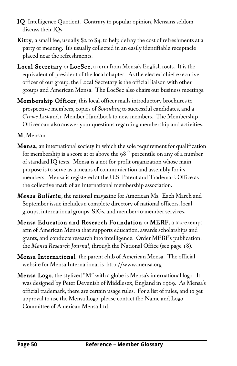- IQ, Intelligence Quotient. Contrary to popular opinion, Mensans seldom discuss their IQs.
- **Kitty**, a small fee, usually  $\S$ 2 to  $\S$ 4, to help defray the cost of refreshments at a party or meeting. It's usually collected in an easily identifiable receptacle placed near the refreshments.
- Local Secretary or LocSec, a term from Mensa's English roots. It is the equivalent of president of the local chapter. As the elected chief executive officer of our group, the Local Secretary is the official liaison with other groups and American Mensa. The LocSec also chairs our business meetings.
- Membership Officer, this local officer mails introductory brochures to prospective members, copies of *Sounding* to successful candidates, and a *Crewe List* and a Member Handbook to new members. The Membership Officer can also answer your questions regarding membership and activities.
- M, Mensan.
- Mensa, an international society in which the sole requirement for qualification for membership is a score at or above the  $98<sup>th</sup>$  percentile on any of a number of standard IQ tests. Mensa is a not-for-profit organization whose main purpose is to serve as a means of communication and assembly for its members. Mensa is registered at the U.S. Patent and Trademark Office as the collective mark of an international membership association.
- *Mensa Bulletin*, the national magazine for American Ms. Each March and September issue includes a complete directory of national officers, local groups, international groups, SIGs, and member-to-member services.
- Mensa Education and Research Foundation or MERF, a tax-exempt arm of American Mensa that supports education, awards scholarships and grants, and conducts research into intelligence. Order MERF's publication, the *Mensa Research Journal*, through the National Office (see page 18).
- Mensa International, the parent club of American Mensa. The official website for Mensa International is http://www.mensa.org
- Mensa Logo, the stylized "M" with a globe is Mensa's international logo. It was designed by Peter Devenish of Middlesex, England in 1969. As Mensa's official trademark, there are certain usage rules. For a list of rules, and to get approval to use the Mensa Logo, please contact the Name and Logo Committee of American Mensa Ltd.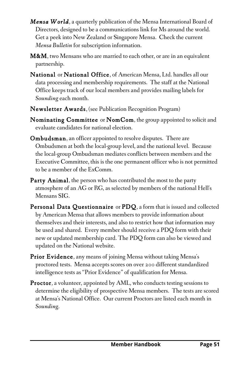- *Mensa World*, a quarterly publication of the Mensa International Board of Directors, designed to be a communications link for Ms around the world. Get a peek into New Zealand or Singapore Mensa. Check the current *Mensa Bulletin* for subscription information.
- **M&M**, two Mensans who are married to each other, or are in an equivalent partnership.
- National or National Office, of American Mensa, Ltd. handles all our data processing and membership requirements. The staff at the National Office keeps track of our local members and provides mailing labels for *Sounding* each month.
- Newsletter Awards, (see Publication Recognition Program)
- Nominating Committee or NomCom, the group appointed to solicit and evaluate candidates for national election.
- Ombudsman, an officer appointed to resolve disputes. There are Ombudsmen at both the local-group level, and the national level. Because the local-group Ombudsman mediates conflicts between members and the Executive Committee, this is the one permanent officer who is not permitted to be a member of the ExComm.
- Party Animal, the person who has contributed the most to the party atmosphere of an AG or RG, as selected by members of the national Hell's Mensans SIG.
- Personal Data Questionnaire or PDQ, a form that is issued and collected by American Mensa that allows members to provide information about themselves and their interests, and also to restrict how that information may be used and shared. Every member should receive a PDQ form with their new or updated membership card. The PDQ form can also be viewed and updated on the National website.
- **Prior Evidence**, any means of joining Mensa without taking Mensa's proctored tests. Mensa accepts scores on over 200 different standardized intelligence tests as "Prior Evidence" of qualification for Mensa.
- Proctor, a volunteer, appointed by AML, who conducts testing sessions to determine the eligibility of prospective Mensa members. The tests are scored at Mensa's National Office. Our current Proctors are listed each month in *Sounding*.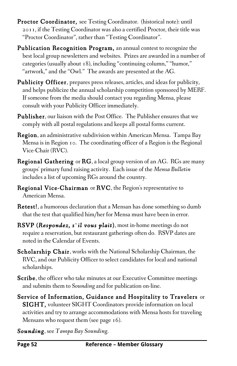- Proctor Coordinator, see Testing Coordinator. (historical note): until 2011, if the Testing Coordinator was also a certified Proctor, their title was "Proctor Coordinator", rather than "Testing Coordinator".
- Publication Recognition Program, an annual contest to recognize the best local group newsletters and websites. Prizes are awarded in a number of categories (usually about 18), including "continuing column," "humor," "artwork," and the "Owl." The awards are presented at the AG.
- Publicity Officer, prepares press releases, articles, and ideas for publicity, and helps publicize the annual scholarship competition sponsored by MERF. If someone from the media should contact you regarding Mensa, please consult with your Publicity Officer immediately.
- Publisher, our liaison with the Post Office. The Publisher ensures that we comply with all postal regulations and keeps all postal forms current.
- Region, an administrative subdivision within American Mensa. Tampa Bay Mensa is in Region 10. The coordinating officer of a Region is the Regional Vice-Chair (RVC).
- Regional Gathering or RG, a local group version of an AG. RGs are many groups' primary fund raising activity. Each issue of the *Mensa Bulletin* includes a list of upcoming RGs around the country.
- Regional Vice-Chairman or RVC, the Region's representative to American Mensa.
- Retest!, a humorous declaration that a Mensan has done something so dumb that the test that qualified him/her for Mensa must have been in error.
- RSVP (*Respondez, s`il vous plait*), most in-home meetings do not require a reservation, but restaurant gatherings often do. RSVP dates are noted in the Calendar of Events.
- Scholarship Chair, works with the National Scholarship Chairman, the RVC, and our Publicity Officer to select candidates for local and national scholarships.
- Scribe, the officer who take minutes at our Executive Committee meetings and submits them to *Sounding* and for publication on-line.
- Service of Information, Guidance and Hospitality to Travelers or SIGHT, volunteer SIGHT Coordinators provide information on local activities and try to arrange accommodations with Mensa hosts for traveling Mensans who request them (see page 16).

*Sounding*, see *Tampa Bay Sounding.*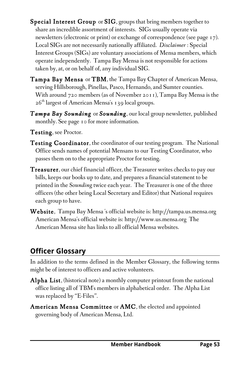- Special Interest Group or SIG, groups that bring members together to share an incredible assortment of interests. SIGs usually operate via newsletters (electronic or print) or exchange of correspondence (see page 17). Local SIGs are not necessarily nationally affiliated. *Disclaimer* : Special Interest Groups (SIGs) are voluntary associations of Mensa members, which operate independently. Tampa Bay Mensa is not responsible for actions taken by, at, or on behalf of, any individual SIG.
- Tampa Bay Mensa or TBM, the Tampa Bay Chapter of American Mensa, serving Hillsborough, Pinellas, Pasco, Hernando, and Sumter counties. With around 720 members (as of November 2011), Tampa Bay Mensa is the  $26<sup>th</sup>$  largest of American Mensa's 139 local groups.
- *Tampa Bay Sounding* or *Sounding*, our local group newsletter, published monthly. See page 10 for more information.
- Testing, see Proctor.
- **Testing Coordinator**, the coordinator of our testing program. The National Office sends names of potential Mensans to our Testing Coordinator, who passes them on to the appropriate Proctor for testing.
- Treasurer, our chief financial officer, the Treasurer writes checks to pay our bills, keeps our books up to date, and prepares a financial statement to be printed in the *Sounding* twice each year. The Treasurer is one of the three officers (the other being Local Secretary and Editor) that National requires each group to have.
- Website, Tampa Bay Mensa 's official website is: http://tampa.us.mensa.org American Mensa's official website is: http://www.us.mensa.org The American Mensa site has links to all official Mensa websites.

# **Officer Glossary**

In addition to the terms defined in the Member Glossary, the following terms might be of interest to officers and active volunteers.

- Alpha List, (historical note) a monthly computer printout from the national office listing all of TBM's members in alphabetical order. The Alpha List was replaced by "E-Files".
- American Mensa Committee or AMC, the elected and appointed governing body of American Mensa, Ltd.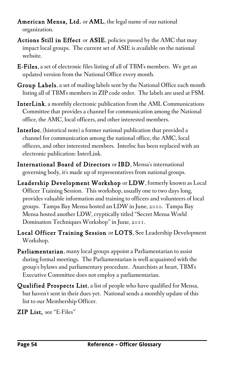- American Mensa, Ltd. or AML, the legal name of our national organization.
- Actions Still in Effect or ASIE, policies passed by the AMC that may impact local groups. The current set of ASIE is available on the national website.
- E-Files, a set of electronic files listing of all of TBM's members. We get an updated version from the National Office every month.
- Group Labels, a set of mailing labels sent by the National Office each month listing all of TBM's members in ZIP code order. The labels are used at FSM.
- InterLink, a monthly electronic publication from the AML Communications Committee that provides a channel for communication among the National office, the AMC, local officers, and other interested members.
- Interloc, (historical note) a former national publication that provided a channel for communication among the national office, the AMC, local officers, and other interested members. Interloc has been replaced with an electronic publication: InterLink.
- International Board of Directors or IBD, Mensa's international governing body, it's made up of representatives from national groups.
- Leadership Development Workshop or LDW, formerly known as Local Officer Training Session. This workshop, usually one to two days long, provides valuable information and training to officers and volunteers of local groups. Tampa Bay Mensa hosted an LDW in June, 2010. Tampa Bay Mensa hosted another LDW, cryptically titled "Secret Mensa World Domination Techniques Workshop" in June, 2011.
- Local Officer Training Session or LOTS, See Leadership Development Workshop.
- Parliamentarian, many local groups appoint a Parliamentarian to assist during formal meetings. The Parliamentarian is well acquainted with the group's bylaws and parliamentary procedure. Anarchists at heart, TBM's Executive Committee does not employ a parliamentarian.
- Qualified Prospects List, a list of people who have qualified for Mensa, but haven't sent in their dues yet. National sends a monthly update of this list to our Membership Officer.
- ZIP List, see "E-Files"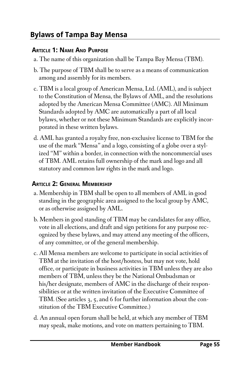# **Bylaws of Tampa Bay Mensa**

#### **ARTICLE 1: NAME AND PURPOSE**

- a. The name of this organization shall be Tampa Bay Mensa (TBM).
- b. The purpose of TBM shall be to serve as a means of communication among and assembly for its members.
- c. TBM is a local group of American Mensa, Ltd. (AML), and is subject to the Constitution of Mensa, the Bylaws of AML, and the resolutions adopted by the American Mensa Committee (AMC). All Minimum Standards adopted by AMC are automatically a part of all local bylaws, whether or not these Minimum Standards are explicitly incorporated in these written bylaws.
- d. AML has granted a royalty free, non-exclusive license to TBM for the use of the mark "Mensa" and a logo, consisting of a globe over a stylized "M" within a border, in connection with the noncommercial uses of TBM. AML retains full ownership of the mark and logo and all statutory and common law rights in the mark and logo.

### **ARTICLE 2: GENERAL MEMBERSHIP**

- a. Membership in TBM shall be open to all members of AML in good standing in the geographic area assigned to the local group by AMC, or as otherwise assigned by AML.
- b. Members in good standing of TBM may be candidates for any office, vote in all elections, and draft and sign petitions for any purpose recognized by these bylaws, and may attend any meeting of the officers, of any committee, or of the general membership.
- c. All Mensa members are welcome to participate in social activities of TBM at the invitation of the host/hostess, but may not vote, hold office, or participate in business activities in TBM unless they are also members of TBM, unless they be the National Ombudsman or his/her designate, members of AMC in the discharge of their responsibilities or at the written invitation of the Executive Committee of TBM. (See articles 3, 5, and 6 for further information about the constitution of the TBM Executive Committee.)
- d. An annual open forum shall be held, at which any member of TBM may speak, make motions, and vote on matters pertaining to TBM.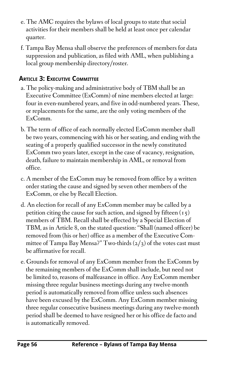- e. The AMC requires the bylaws of local groups to state that social activities for their members shall be held at least once per calendar quarter.
- f. Tampa Bay Mensa shall observe the preferences of members for data suppression and publication, as filed with AML, when publishing a local group membership directory/roster.

### **ARTICLE 3: EXECUTIVE COMMITTEE**

- a. The policy-making and administrative body of TBM shall be an Executive Committee (ExComm) of nine members elected at large: four in even-numbered years, and five in odd-numbered years. These, or replacements for the same, are the only voting members of the ExComm.
- b. The term of office of each normally elected ExComm member shall be two years, commencing with his or her seating, and ending with the seating of a properly qualified successor in the newly constituted ExComm two years later, except in the case of vacancy, resignation, death, failure to maintain membership in AML, or removal from office.
- c. A member of the ExComm may be removed from office by a written order stating the cause and signed by seven other members of the ExComm, or else by Recall Election.
- d. An election for recall of any ExComm member may be called by a petition citing the cause for such action, and signed by fifteen  $(15)$ members of TBM. Recall shall be effected by a Special Election of TBM, as in Article 8, on the stated question: "Shall (named officer) be removed from (his or her) office as a member of the Executive Committee of Tampa Bay Mensa?" Two-thirds  $(2/3)$  of the votes cast must be affirmative for recall.
- e. Grounds for removal of any ExComm member from the ExComm by the remaining members of the ExComm shall include, but need not be limited to, reasons of malfeasance in office. Any ExComm member missing three regular business meetings during any twelve-month period is automatically removed from office unless such absences have been excused by the ExComm. Any ExComm member missing three regular consecutive business meetings during any twelve-month period shall be deemed to have resigned her or his office de facto and is automatically removed.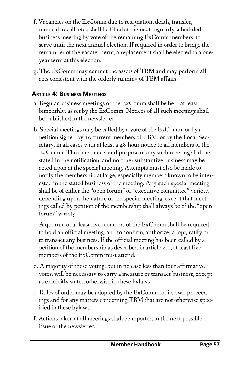- f. Vacancies on the ExComm due to resignation, death, transfer, removal, recall, etc., shall be filled at the next regularly scheduled business meeting by vote of the remaining ExComm members, to serve until the next annual election. If required in order to bridge the remainder of the vacated term, a replacement shall be elected to a oneyear term at this election.
- g. The ExComm may commit the assets of TBM and may perform all acts consistent with the orderly running of TBM affairs.

### **ARTICLE 4: BUSINESS MEETINGS**

- a. Regular business meetings of the ExComm shall be held at least bimonthly, as set by the ExComm. Notices of all such meetings shall be published in the newsletter.
- b. Special meetings may be called by a vote of the ExComm; or by a petition signed by 10 current members of TBM; or by the Local Secretary, in all cases with at least a 48-hour notice to all members of the ExComm. The time, place, and purpose of any such meeting shall be stated in the notification, and no other substantive business may be acted upon at the special meeting. Attempts must also be made to notify the membership at large, especially members known to be interested in the stated business of the meeting. Any such special meeting shall be of either the "open forum" or "executive committee" variety, depending upon the nature of the special meeting, except that meetings called by petition of the membership shall always be of the "open forum" variety.
- c. A quorum of at least five members of the ExComm shall be required to hold an official meeting, and to confirm, authorize, adopt, ratify or to transact any business. If the official meeting has been called by a petition of the membership as described in article 4.b, at least five members of the ExComm must attend.
- d. A majority of those voting, but in no case less than four affirmative votes, will be necessary to carry a measure or transact business, except as explicitly stated otherwise in these bylaws.
- e. Rules of order may be adopted by the ExComm for its own proceedings and for any matters concerning TBM that are not otherwise specified in these bylaws.
- f. Actions taken at all meetings shall be reported in the next possible issue of the newsletter.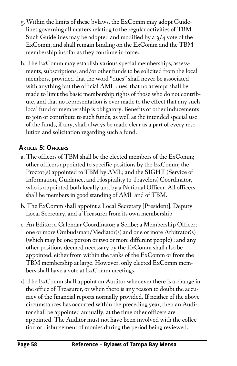- g. Within the limits of these bylaws, the ExComm may adopt Guidelines governing all matters relating to the regular activities of TBM. Such Guidelines may be adopted and modified by a 3/4 vote of the ExComm, and shall remain binding on the ExComm and the TBM membership insofar as they continue in force.
- h. The ExComm may establish various special memberships, assessments, subscriptions, and/or other funds to be solicited from the local members, provided that the word "dues" shall never be associated with anything but the official AML dues, that no attempt shall be made to limit the basic membership rights of those who do not contribute, and that no representation is ever made to the effect that any such local fund or membership is obligatory. Benefits or other inducements to join or contribute to such funds, as well as the intended special use of the funds, if any, shall always be made clear as a part of every resolution and solicitation regarding such a fund.

### **ARTICLE 5: OFFICERS**

- a. The officers of TBM shall be the elected members of the ExComm; other officers appointed to specific positions by the ExComm; the Proctor(s) appointed to TBM by AML; and the SIGHT (Service of Information, Guidance, and Hospitality to Travelers) Coordinator, who is appointed both locally and by a National Officer. All officers shall be members in good standing of AML and of TBM.
- b. The ExComm shall appoint a Local Secretary [President], Deputy Local Secretary, and a Treasurer from its own membership.
- c. An Editor; a Calendar Coordinator; a Scribe; a Membership Officer; one or more Ombudsman/Mediator(s) and one or more Arbitrator(s) (which may be one person or two or more different people) ; and any other positions deemed necessary by the ExComm shall also be appointed, either from within the ranks of the ExComm or from the TBM membership at large. However, only elected ExComm members shall have a vote at ExComm meetings.
- d. The ExComm shall appoint an Auditor whenever there is a change in the office of Treasurer, or when there is any reason to doubt the accuracy of the financial reports normally provided. If neither of the above circumstances has occurred within the preceding year, then an Auditor shall be appointed annually, at the time other officers are appointed. The Auditor must not have been involved with the collection or disbursement of monies during the period being reviewed.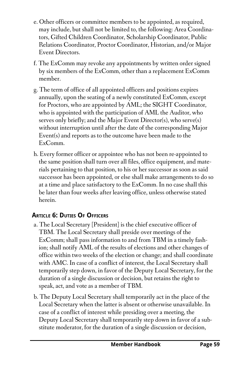- e. Other officers or committee members to be appointed, as required, may include, but shall not be limited to, the following: Area Coordinators, Gifted Children Coordinator, Scholarship Coordinator, Public Relations Coordinator, Proctor Coordinator, Historian, and/or Major Event Directors.
- f. The ExComm may revoke any appointments by written order signed by six members of the ExComm, other than a replacement ExComm member.
- g. The term of office of all appointed officers and positions expires annually, upon the seating of a newly constituted ExComm, except for Proctors, who are appointed by AML; the SIGHT Coordinator, who is appointed with the participation of AML the Auditor, who serves only briefly; and the Major Event Director(s), who serve(s) without interruption until after the date of the corresponding Major Event(s) and reports as to the outcome have been made to the ExComm.
- h. Every former officer or appointee who has not been re-appointed to the same position shall turn over all files, office equipment, and materials pertaining to that position, to his or her successor as soon as said successor has been appointed, or else shall make arrangements to do so at a time and place satisfactory to the ExComm. In no case shall this be later than four weeks after leaving office, unless otherwise stated herein.

# **ARTICLE 6: DUTIES OF OFFICERS**

- a. The Local Secretary [President] is the chief executive officer of TBM. The Local Secretary shall preside over meetings of the ExComm; shall pass information to and from TBM in a timely fashion; shall notify AML of the results of elections and other changes of office within two weeks of the election or change; and shall coordinate with AMC. In case of a conflict of interest, the Local Secretary shall temporarily step down, in favor of the Deputy Local Secretary, for the duration of a single discussion or decision, but retains the right to speak, act, and vote as a member of TBM.
- b. The Deputy Local Secretary shall temporarily act in the place of the Local Secretary when the latter is absent or otherwise unavailable. In case of a conflict of interest while presiding over a meeting, the Deputy Local Secretary shall temporarily step down in favor of a substitute moderator, for the duration of a single discussion or decision,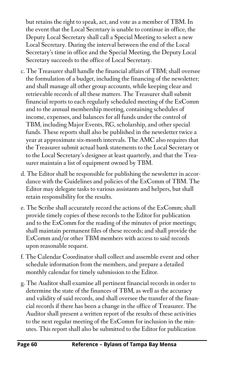but retains the right to speak, act, and vote as a member of TBM. In the event that the Local Secretary is unable to continue in office, the Deputy Local Secretary shall call a Special Meeting to select a new Local Secretary. During the interval between the end of the Local Secretary's time in office and the Special Meeting, the Deputy Local Secretary succeeds to the office of Local Secretary.

- c. The Treasurer shall handle the financial affairs of TBM; shall oversee the formulation of a budget, including the financing of the newsletter; and shall manage all other group accounts, while keeping clear and retrievable records of all these matters. The Treasurer shall submit financial reports to each regularly scheduled meeting of the ExComm and to the annual membership meeting, containing schedules of income, expenses, and balances for all funds under the control of TBM, including Major Events, RG, scholarship, and other special funds. These reports shall also be published in the newsletter twice a year at approximate six-month intervals. The AMC also requires that the Treasurer submit actual bank statements to the Local Secretary or to the Local Secretary's designee at least quarterly, and that the Treasurer maintain a list of equipment owned by TBM.
- d. The Editor shall be responsible for publishing the newsletter in accordance with the Guidelines and policies of the ExComm of TBM. The Editor may delegate tasks to various assistants and helpers, but shall retain responsibility for the results.
- e. The Scribe shall accurately record the actions of the ExComm; shall provide timely copies of these records to the Editor for publication and to the ExComm for the reading of the minutes of prior meetings; shall maintain permanent files of these records; and shall provide the ExComm and/or other TBM members with access to said records upon reasonable request.
- f. The Calendar Coordinator shall collect and assemble event and other schedule information from the members, and prepare a detailed monthly calendar for timely submission to the Editor.
- g. The Auditor shall examine all pertinent financial records in order to determine the state of the finances of TBM, as well as the accuracy and validity of said records, and shall oversee the transfer of the financial records if there has been a change in the office of Treasurer. The Auditor shall present a written report of the results of these activities to the next regular meeting of the ExComm for inclusion in the minutes. This report shall also be submitted to the Editor for publication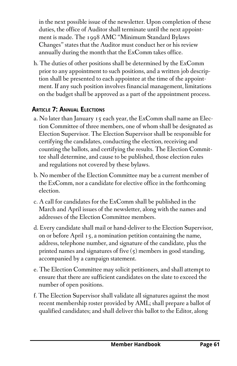in the next possible issue of the newsletter. Upon completion of these duties, the office of Auditor shall terminate until the next appointment is made. The 1998 AMC "Minimum Standard Bylaws Changes" states that the Auditor must conduct her or his review annually during the month that the ExComm takes office.

h. The duties of other positions shall be determined by the ExComm prior to any appointment to such positions, and a written job description shall be presented to each appointee at the time of the appointment. If any such position involves financial management, limitations on the budget shall be approved as a part of the appointment process.

## **ARTICLE 7: ANNUAL ELECTIONS**

- a. No later than January 15 each year, the ExComm shall name an Election Committee of three members, one of whom shall be designated as Election Supervisor. The Election Supervisor shall be responsible for certifying the candidates, conducting the election, receiving and counting the ballots, and certifying the results. The Election Committee shall determine, and cause to be published, those election rules and regulations not covered by these bylaws.
- b. No member of the Election Committee may be a current member of the ExComm, nor a candidate for elective office in the forthcoming election.
- c. A call for candidates for the ExComm shall be published in the March and April issues of the newsletter, along with the names and addresses of the Election Committee members.
- d. Every candidate shall mail or hand-deliver to the Election Supervisor, on or before April 15, a nomination petition containing the name, address, telephone number, and signature of the candidate, plus the printed names and signatures of five (5) members in good standing, accompanied by a campaign statement.
- e. The Election Committee may solicit petitioners, and shall attempt to ensure that there are sufficient candidates on the slate to exceed the number of open positions.
- f. The Election Supervisor shall validate all signatures against the most recent membership roster provided by AML; shall prepare a ballot of qualified candidates; and shall deliver this ballot to the Editor, along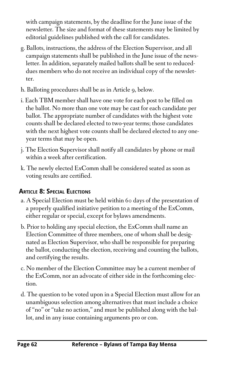with campaign statements, by the deadline for the June issue of the newsletter. The size and format of these statements may be limited by editorial guidelines published with the call for candidates.

- g. Ballots, instructions, the address of the Election Supervisor, and all campaign statements shall be published in the June issue of the newsletter. In addition, separately mailed ballots shall be sent to reduceddues members who do not receive an individual copy of the newsletter.
- h. Balloting procedures shall be as in Article 9, below.
- i. Each TBM member shall have one vote for each post to be filled on the ballot. No more than one vote may be cast for each candidate per ballot. The appropriate number of candidates with the highest vote counts shall be declared elected to two-year terms; those candidates with the next highest vote counts shall be declared elected to any oneyear terms that may be open.
- j. The Election Supervisor shall notify all candidates by phone or mail within a week after certification.
- k. The newly elected ExComm shall be considered seated as soon as voting results are certified.

# **ARTICLE 8: SPECIAL ELECTIONS**

- a. A Special Election must be held within 60 days of the presentation of a properly qualified initiative petition to a meeting of the ExComm, either regular or special, except for bylaws amendments.
- b. Prior to holding any special election, the ExComm shall name an Election Committee of three members, one of whom shall be designated as Election Supervisor, who shall be responsible for preparing the ballot, conducting the election, receiving and counting the ballots, and certifying the results.
- c. No member of the Election Committee may be a current member of the ExComm, nor an advocate of either side in the forthcoming election.
- d. The question to be voted upon in a Special Election must allow for an unambiguous selection among alternatives that must include a choice of "no" or "take no action," and must be published along with the ballot, and in any issue containing arguments pro or con.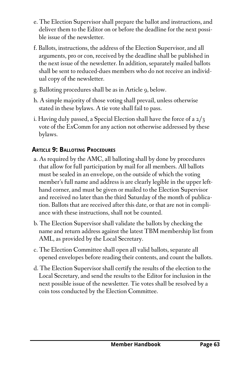- e. The Election Supervisor shall prepare the ballot and instructions, and deliver them to the Editor on or before the deadline for the next possible issue of the newsletter.
- f. Ballots, instructions, the address of the Election Supervisor, and all arguments, pro or con, received by the deadline shall be published in the next issue of the newsletter. In addition, separately mailed ballots shall be sent to reduced-dues members who do not receive an individual copy of the newsletter.
- g. Balloting procedures shall be as in Article 9, below.
- h. A simple majority of those voting shall prevail, unless otherwise stated in these bylaws. A tie vote shall fail to pass.
- i. Having duly passed, a Special Election shall have the force of a 2/3 vote of the ExComm for any action not otherwise addressed by these bylaws.

# **ARTICLE 9: BALLOTING PROCEDURES**

- a. As required by the AMC, all balloting shall by done by procedures that allow for full participation by mail for all members. All ballots must be sealed in an envelope, on the outside of which the voting member's full name and address is are clearly legible in the upper lefthand corner, and must be given or mailed to the Election Supervisor and received no later than the third Saturday of the month of publication. Ballots that are received after this date, or that are not in compliance with these instructions, shall not be counted.
- b. The Election Supervisor shall validate the ballots by checking the name and return address against the latest TBM membership list from AML, as provided by the Local Secretary.
- c. The Election Committee shall open all valid ballots, separate all opened envelopes before reading their contents, and count the ballots.
- d. The Election Supervisor shall certify the results of the election to the Local Secretary, and send the results to the Editor for inclusion in the next possible issue of the newsletter. Tie votes shall be resolved by a coin toss conducted by the Election Committee.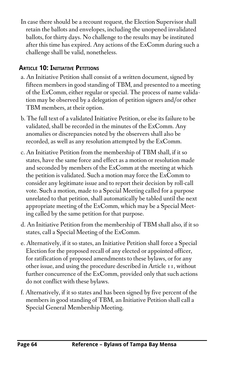In case there should be a recount request, the Election Supervisor shall retain the ballots and envelopes, including the unopened invalidated ballots, for thirty days. No challenge to the results may be instituted after this time has expired. Any actions of the ExComm during such a challenge shall be valid, nonetheless.

## **ARTICLE 10: INITIATIVE PETITIONS**

- a. An Initiative Petition shall consist of a written document, signed by fifteen members in good standing of TBM, and presented to a meeting of the ExComm, either regular or special. The process of name validation may be observed by a delegation of petition signers and/or other TBM members, at their option.
- b. The full text of a validated Initiative Petition, or else its failure to be validated, shall be recorded in the minutes of the ExComm. Any anomalies or discrepancies noted by the observers shall also be recorded, as well as any resolution attempted by the ExComm.
- c. An Initiative Petition from the membership of TBM shall, if it so states, have the same force and effect as a motion or resolution made and seconded by members of the ExComm at the meeting at which the petition is validated. Such a motion may force the ExComm to consider any legitimate issue and to report their decision by roll-call vote. Such a motion, made to a Special Meeting called for a purpose unrelated to that petition, shall automatically be tabled until the next appropriate meeting of the ExComm, which may be a Special Meeting called by the same petition for that purpose.
- d. An Initiative Petition from the membership of TBM shall also, if it so states, call a Special Meeting of the ExComm.
- e. Alternatively, if it so states, an Initiative Petition shall force a Special Election for the proposed recall of any elected or appointed officer, for ratification of proposed amendments to these bylaws, or for any other issue, and using the procedure described in Article 11, without further concurrence of the ExComm, provided only that such actions do not conflict with these bylaws.
- f. Alternatively, if it so states and has been signed by five percent of the members in good standing of TBM, an Initiative Petition shall call a Special General Membership Meeting.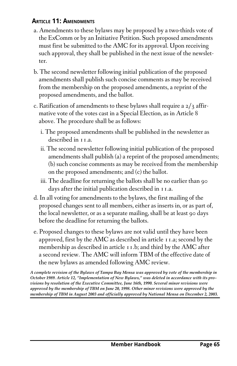### **ARTICLE 11: AMENDMENTS**

- a. Amendments to these bylaws may be proposed by a two-thirds vote of the ExComm or by an Initiative Petition. Such proposed amendments must first be submitted to the AMC for its approval. Upon receiving such approval, they shall be published in the next issue of the newsletter.
- b. The second newsletter following initial publication of the proposed amendments shall publish such concise comments as may be received from the membership on the proposed amendments, a reprint of the proposed amendments, and the ballot.
- c. Ratification of amendments to these bylaws shall require a  $2/3$  affirmative vote of the votes cast in a Special Election, as in Article 8 above. The procedure shall be as follows:
	- i. The proposed amendments shall be published in the newsletter as described in 11.a.
	- ii. The second newsletter following initial publication of the proposed amendments shall publish (a) a reprint of the proposed amendments; (b) such concise comments as may be received from the membership on the proposed amendments; and (c) the ballot.
	- iii. The deadline for returning the ballots shall be no earlier than 90 days after the initial publication described in 11.a.
- d. In all voting for amendments to the bylaws, the first mailing of the proposed changes sent to all members, either as inserts in, or as part of, the local newsletter, or as a separate mailing, shall be at least 90 days before the deadline for returning the ballots.
- e. Proposed changes to these bylaws are not valid until they have been approved, first by the AMC as described in article 11.a; second by the membership as described in article 11.b; and third by the AMC after a second review. The AMC will inform TBM of the effective date of the new bylaws as amended following AMC review.

*A complete revision of the Bylaws of Tampa Bay Mensa was approved by vote of the membership in October 1989. Article 12, "Implementation of New Bylaws," was deleted in accordance with its provisions by resolution of the Executive Committee, June 16th, 1990. Several minor revisions were approved by the membership of TBM on June 20, 1998. Other minor revisions were approved by the membership of TBM in August 2003 and officially approved by National Mensa on December 2, 2003.*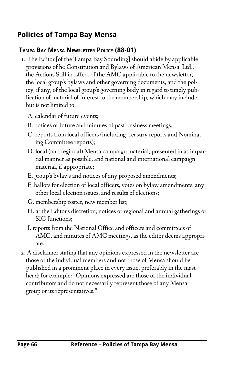# **Policies of Tampa Bay Mensa**

### **TAMPA BAY MENSA NEWSLETTER POLICY (88-01)**

- 1. The Editor [of the Tampa Bay Sounding] should abide by applicable provisions of he Constitution and Bylaws of American Mensa, Ltd., the Actions Still in Effect of the AMC applicable to the newsletter, the local group's bylaws and other governing documents, and the policy, if any, of the local group's governing body in regard to timely publication of material of interest to the membership, which may include, but is not limited to:
	- A. calendar of future events;
	- B. notices of future and minutes of past business meetings;
	- C. reports from local officers (including treasury reports and Nominating Committee reports);
	- D. local (and regional) Mensa campaign material, presented in as impartial manner as possible, and national and international campaign material, if appropriate;
	- E. group's bylaws and notices of any proposed amendments;
	- F. ballots for election of local officers, votes on bylaw amendments, any other local election issues, and results of elections;
	- G. membership roster, new member list;
	- H. at the Editor's discretion, notices of regional and annual gatherings or SIG functions;
	- I. reports from the National Office and officers and committees of AMC, and minutes of AMC meetings, as the editor deems appropriate.
- 2. A disclaimer stating that any opinions expressed in the newsletter are those of the individual members and not those of Mensa should be published in a prominent place in every issue, preferably in the masthead; for example: "Opinions expressed are those of the individual contributors and do not necessarily represent those of any Mensa group or its representatives."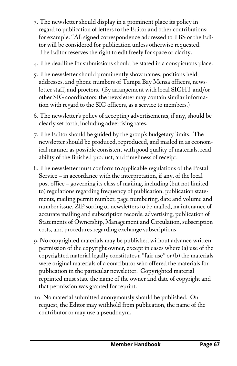- 3. The newsletter should display in a prominent place its policy in regard to publication of letters to the Editor and other contributions; for example: "All signed correspondence addressed to TBS or the Editor will be considered for publication unless otherwise requested. The Editor reserves the right to edit freely for space or clarity.
- 4. The deadline for submissions should be stated in a conspicuous place.
- 5. The newsletter should prominently show names, positions held, addresses, and phone numbers of Tampa Bay Mensa officers, newsletter staff, and proctors. (By arrangement with local SIGHT and/or other SIG coordinators, the newsletter may contain similar information with regard to the SIG officers, as a service to members.)
- 6. The newsletter's policy of accepting advertisements, if any, should be clearly set forth, including advertising rates.
- 7. The Editor should be guided by the group's budgetary limits. The newsletter should be produced, reproduced, and mailed in as economical manner as possible consistent with good quality of materials, readability of the finished product, and timeliness of receipt.
- 8. The newsletter must conform to applicable regulations of the Postal Service – in accordance with the interpretation, if any, of the local post office – governing its class of mailing, including (but not limited to) regulations regarding frequency of publication, publication statements, mailing permit number, page numbering, date and volume and number issue, ZIP sorting of newsletters to be mailed, maintenance of accurate mailing and subscription records, advertising, publication of Statements of Ownership, Management and Circulation, subscription costs, and procedures regarding exchange subscriptions.
- 9. No copyrighted materials may be published without advance written permission of the copyright owner, except in cases where (a) use of the copyrighted material legally constitutes a "fair use" or (b) the materials were original materials of a contributor who offered the materials for publication in the particular newsletter. Copyrighted material reprinted must state the name of the owner and date of copyright and that permission was granted for reprint.
- 10. No material submitted anonymously should be published. On request, the Editor may withhold from publication, the name of the contributor or may use a pseudonym.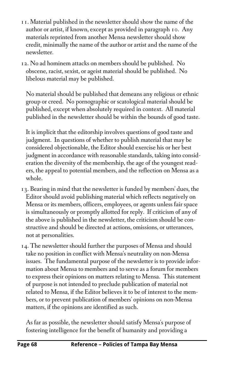- 11. Material published in the newsletter should show the name of the author or artist, if known, except as provided in paragraph 10. Any materials reprinted from another Mensa newsletter should show credit, minimally the name of the author or artist and the name of the newsletter.
- 12. No ad hominem attacks on members should be published. No obscene, racist, sexist, or ageist material should be published. No libelous material may be published.

No material should be published that demeans any religious or ethnic group or creed. No pornographic or scatological material should be published, except when absolutely required in context. All material published in the newsletter should be within the bounds of good taste.

It is implicit that the editorship involves questions of good taste and judgment. In questions of whether to publish material that may be considered objectionable, the Editor should exercise his or her best judgment in accordance with reasonable standards, taking into consideration the diversity of the membership, the age of the youngest readers, the appeal to potential members, and the reflection on Mensa as a whole.

- 13. Bearing in mind that the newsletter is funded by members' dues, the Editor should avoid publishing material which reflects negatively on Mensa or its members, officers, employees, or agents unless fair space is simultaneously or promptly allotted for reply. If criticism of any of the above is published in the newsletter, the criticism should be constructive and should be directed at actions, omissions, or utterances, not at personalities.
- 14. The newsletter should further the purposes of Mensa and should take no position in conflict with Mensa's neutrality on non-Mensa issues. The fundamental purpose of the newsletter is to provide information about Mensa to members and to serve as a forum for members to express their opinions on matters relating to Mensa. This statement of purpose is not intended to preclude publication of material not related to Mensa, if the Editor believes it to be of interest to the members, or to prevent publication of members' opinions on non-Mensa matters, if the opinions are identified as such.

As far as possible, the newsletter should satisfy Mensa's purpose of fostering intelligence for the benefit of humanity and providing a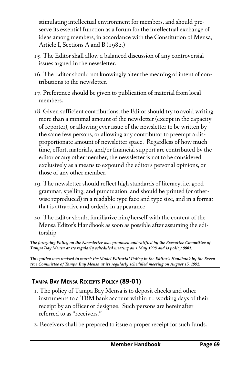stimulating intellectual environment for members, and should preserve its essential function as a forum for the intellectual exchange of ideas among members, in accordance with the Constitution of Mensa, Article I, Sections A and B (1982.)

- 15. The Editor shall allow a balanced discussion of any controversial issues argued in the newsletter.
- 16. The Editor should not knowingly alter the meaning of intent of contributions to the newsletter.
- 17. Preference should be given to publication of material from local members.
- 18. Given sufficient contributions, the Editor should try to avoid writing more than a minimal amount of the newsletter (except in the capacity of reporter), or allowing ever issue of the newsletter to be written by the same few persons, or allowing any contributor to preempt a disproportionate amount of newsletter space. Regardless of how much time, effort, materials, and/or financial support are contributed by the editor or any other member, the newsletter is not to be considered exclusively as a means to expound the editor's personal opinions, or those of any other member.
- 19. The newsletter should reflect high standards of literacy, i.e. good grammar, spelling, and punctuation, and should be printed (or otherwise reproduced) in a readable type face and type size, and in a format that is attractive and orderly in appearance.
- 20. The Editor should familiarize him/herself with the content of the Mensa Editor's Handbook as soon as possible after assuming the editorship.

*The foregoing Policy on the Newsletter was proposed and ratified by the Executive Committee of Tampa Bay Mensa at its regularly scheduled meeting on 1 May 1998 and is policy 8801.*

*This policy was revised to match the Model Editorial Policy in the Editor's Handbook by the Executive Committee of Tampa Bay Mensa at its regularly scheduled meeting on August 15, 1992.*

# **TAMPA BAY MENSA RECEIPTS POLICY (89-01)**

- 1. The policy of Tampa Bay Mensa is to deposit checks and other instruments to a TBM bank account within 10 working days of their receipt by an officer or designee. Such persons are hereinafter referred to as "receivers."
- 2. Receivers shall be prepared to issue a proper receipt for such funds.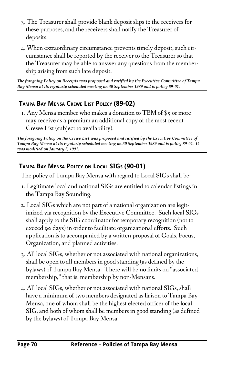- 3. The Treasurer shall provide blank deposit slips to the receivers for these purposes, and the receivers shall notify the Treasurer of deposits.
- 4. When extraordinary circumstance prevents timely deposit, such circumstance shall be reported by the receiver to the Treasurer so that the Treasurer may be able to answer any questions from the membership arising from such late deposit.

*The foregoing Policy on Receipts was proposed and ratified by the Executive Committee of Tampa Bay Mensa at its regularly scheduled meeting on 30 September 1989 and is policy 8901.*

# **TAMPA BAY MENSA CREWE LIST POLICY (89-02)**

1. Any Mensa member who makes a donation to TBM of \$5 or more may receive as a premium an additional copy of the most recent Crewe List (subject to availability).

*The foregoing Policy on the Crewe List was proposed and ratified by the Executive Committee of Tampa Bay Mensa at its regularly scheduled meeting on 30 September 1989 and is policy 8902. It was modified on January 5, 1991.*

# **TAMPA BAY MENSA POLICY ON LOCAL SIGS (90-01)**

The policy of Tampa Bay Mensa with regard to Local SIGs shall be:

- 1. Legitimate local and national SIGs are entitled to calendar listings in the Tampa Bay Sounding.
- 2. Local SIGs which are not part of a national organization are legitimized via recognition by the Executive Committee. Such local SIGs shall apply to the SIG coordinator for temporary recognition (not to exceed 90 days) in order to facilitate organizational efforts. Such application is to accompanied by a written proposal of Goals, Focus, Organization, and planned activities.
- 3. All local SIGs, whether or not associated with national organizations, shall be open to all members in good standing (as defined by the bylaws) of Tampa Bay Mensa. There will be no limits on "associated membership," that is, membership by non-Mensans.
- 4. All local SIGs, whether or not associated with national SIGs, shall have a minimum of two members designated as liaison to Tampa Bay Mensa, one of whom shall be the highest elected officer of the local SIG, and both of whom shall be members in good standing (as defined by the bylaws) of Tampa Bay Mensa.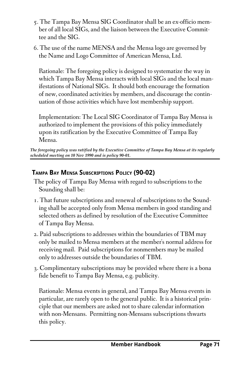- 5. The Tampa Bay Mensa SIG Coordinator shall be an ex-officio member of all local SIGs, and the liaison between the Executive Committee and the SIG.
- 6. The use of the name MENSA and the Mensa logo are governed by the Name and Logo Committee of American Mensa, Ltd.

Rationale: The foregoing policy is designed to systematize the way in which Tampa Bay Mensa interacts with local SIGs and the local manifestations of National SIGs. It should both encourage the formation of new, coordinated activities by members, and discourage the continuation of those activities which have lost membership support.

Implementation: The Local SIG Coordinator of Tampa Bay Mensa is authorized to implement the provisions of this policy immediately upon its ratification by the Executive Committee of Tampa Bay Mensa.

*The foregoing policy was ratified by the Executive Committee of Tampa Bay Mensa at its regularly* scheduled meeting on 10 Nov 1990 and is policy 90-01.

### **TAMPA BAY MENSA SUBSCRIPTIONS POLICY (90-02)**

- The policy of Tampa Bay Mensa with regard to subscriptions to the Sounding shall be:
- 1. That future subscriptions and renewal of subscriptions to the Sounding shall be accepted only from Mensa members in good standing and selected others as defined by resolution of the Executive Committee of Tampa Bay Mensa.
- 2. Paid subscriptions to addresses within the boundaries of TBM may only be mailed to Mensa members at the member's normal address for receiving mail. Paid subscriptions for nonmembers may be mailed only to addresses outside the boundaries of TBM.
- 3. Complimentary subscriptions may be provided where there is a bona fide benefit to Tampa Bay Mensa, e.g. publicity.

Rationale: Mensa events in general, and Tampa Bay Mensa events in particular, are rarely open to the general public. It is a historical principle that our members are asked not to share calendar information with non-Mensans. Permitting non-Mensans subscriptions thwarts this policy.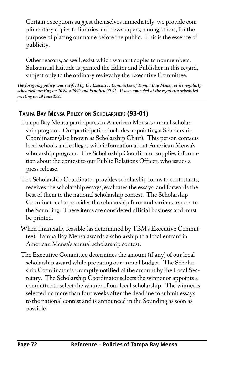Certain exceptions suggest themselves immediately: we provide complimentary copies to libraries and newspapers, among others, for the purpose of placing our name before the public. This is the essence of publicity.

Other reasons, as well, exist which warrant copies to nonmembers. Substantial latitude is granted the Editor and Publisher in this regard, subject only to the ordinary review by the Executive Committee.

*The foregoing policy was ratified by the Executive Committee of Tampa Bay Mensa at its regularly* scheduled meeting on 10 Nov 1990 and is policy 90-02. It was amended at the regularly scheduled *meeting on 19 June 1993.*

### **TAMPA BAY MENSA POLICY ON SCHOLARSHIPS (93-01)**

- Tampa Bay Mensa participates in American Mensa's annual scholarship program. Our participation includes appointing a Scholarship Coordinator (also known as Scholarship Chair). This person contacts local schools and colleges with information about American Mensa's scholarship program. The Scholarship Coordinator supplies information about the contest to our Public Relations Officer, who issues a press release.
- The Scholarship Coordinator provides scholarship forms to contestants, receives the scholarship essays, evaluates the essays, and forwards the best of them to the national scholarship contest. The Scholarship Coordinator also provides the scholarship form and various reports to the Sounding. These items are considered official business and must be printed.
- When financially feasible (as determined by TBM's Executive Committee), Tampa Bay Mensa awards a scholarship to a local entrant in American Mensa's annual scholarship contest.
- The Executive Committee determines the amount (if any) of our local scholarship award while preparing our annual budget. The Scholarship Coordinator is promptly notified of the amount by the Local Secretary. The Scholarship Coordinator selects the winner or appoints a committee to select the winner of our local scholarship. The winner is selected no more than four weeks after the deadline to submit essays to the national contest and is announced in the Sounding as soon as possible.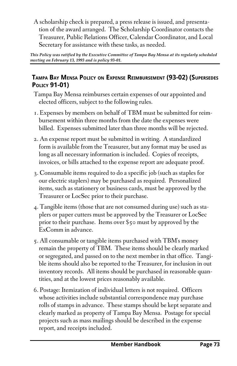A scholarship check is prepared, a press release is issued, and presentation of the award arranged. The Scholarship Coordinator contacts the Treasurer, Public Relations Officer, Calendar Coordinator, and Local Secretary for assistance with these tasks, as needed.

*This Policy was ratified by the Executive Committee of Tampa Bay Mensa at its regularly scheduled meeting on February 13, 1993 and is policy 93-01.* 

### **TAMPA BAY MENSA POLICY ON EXPENSE REIMBURSEMENT (93-02) (SUPERSEDES POLICY 91-01)**

- Tampa Bay Mensa reimburses certain expenses of our appointed and elected officers, subject to the following rules.
- 1. Expenses by members on behalf of TBM must be submitted for reimbursement within three months from the date the expenses were billed. Expenses submitted later than three months will be rejected.
- 2. An expense report must be submitted in writing. A standardized form is available from the Treasurer, but any format may be used as long as all necessary information is included. Copies of receipts, invoices, or bills attached to the expense report are adequate proof.
- 3. Consumable items required to do a specific job (such as staples for our electric staplers) may be purchased as required. Personalized items, such as stationery or business cards, must be approved by the Treasurer or LocSec prior to their purchase.
- 4. Tangible items (those that are not consumed during use) such as staplers or paper cutters must be approved by the Treasurer or LocSec prior to their purchase. Items over \$50 must by approved by the ExComm in advance.
- 5. All consumable or tangible items purchased with TBM's money remain the property of TBM. These items should be clearly marked or segregated, and passed on to the next member in that office. Tangible items should also be reported to the Treasurer, for inclusion in out inventory records. All items should be purchased in reasonable quantities, and at the lowest prices reasonably available.
- 6. Postage: Itemization of individual letters is not required. Officers whose activities include substantial correspondence may purchase rolls of stamps in advance. These stamps should be kept separate and clearly marked as property of Tampa Bay Mensa. Postage for special projects such as mass mailings should be described in the expense report, and receipts included.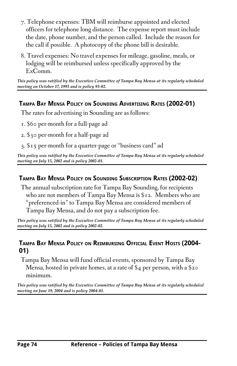- 7. Telephone expenses: TBM will reimburse appointed and elected officers for telephone long distance. The expense report must include the date, phone number, and the person called. Include the reason for the call if possible. A photocopy of the phone bill is desirable.
- 8. Travel expenses: No travel expenses for mileage, gasoline, meals, or lodging will be reimbursed unless specifically approved by the ExComm.

*This policy was ratified by the Executive Committee of Tampa Bay Mensa at its regularly scheduled* meeting on October 17, 1993 and is policy 93-02.

#### **TAMPA BAY MENSA POLICY ON SOUNDING ADVERTISING RATES (2002-01)**

The rates for advertising in Sounding are as follows:

- 1. \$60 per-month for a full-page ad
- 2. \$30 per-month for a half-page ad
- 3. \$15 per-month for a quarter-page or "business card" ad

*This policy was ratified by the Executive Committee of Tampa Bay Mensa at its regularly scheduled* meeting on July 15, 2002 and is policy 2002-01.

### **TAMPA BAY MENSA POLICY ON SOUNDING SUBSCRIPTION RATES (2002-02)**

The annual subscription rate for Tampa Bay Sounding, for recipients who are not members of Tampa Bay Mensa is \$12. Members who are "preferenced-in" to Tampa Bay Mensa are considered members of Tampa Bay Mensa, and do not pay a subscription fee.

*This policy was ratified by the Executive Committee of Tampa Bay Mensa at its regularly scheduled* meeting on July 15, 2002 and is policy 2002-02.

#### **TAMPA BAY MENSA POLICY ON REIMBURSING OFFICIAL EVENT HOSTS (2004- 01)**

Tampa Bay Mensa will fund official events, sponsored by Tampa Bay Mensa, hosted in private homes, at a rate of \$4 per person, with a \$20 minimum.

*This policy was ratified by the Executive Committee of Tampa Bay Mensa at its regularly scheduled meeting on June 19, 2004 and is policy 2004-01.*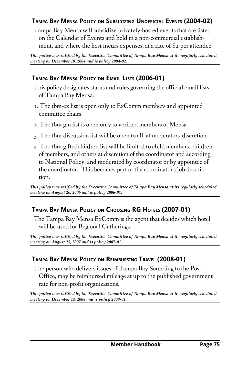## **TAMPA BAY MENSA POLICY ON SUBSIDIZING UNOFFICIAL EVENTS (2004-02)**

Tampa Bay Mensa will subsidize privately-hosted events that are listed on the Calendar of Events and held in a non-commercial establishment, and where the host incurs expenses, at a rate of \$2 per attendee.

*This policy was ratified by the Executive Committee of Tampa Bay Mensa at its regularly scheduled meeting on December 18, 2004 and is policy 2004-02.* 

## **TAMPA BAY MENSA POLICY ON EMAIL LISTS (2006-01)**

- This policy designates status and rules governing the official email lists of Tampa Bay Mensa.
- 1. The tbm-ex list is open only to ExComm members and appointed committee chairs.
- 2. The tbm-gm list is open only to verified members of Mensa.
- 3. The tbm-discussion list will be open to all, at moderators' discretion.
- 4. The tbm-giftedchildren list will be limited to child members, children of members, and others at discretion of the coordinator and according to National Policy, and moderated by coordinator or by appointee of the coordinator. This becomes part of the coordinator's job description.

*This policy was ratified by the Executive Committee of Tampa Bay Mensa at its regularly scheduled meeting on August 26, 2006 and is policy 2006-01.* 

### **TAMPA BAY MENSA POLICY ON CHOOSING RG HOTELS (2007-01)**

The Tampa Bay Mensa ExComm is the agent that decides which hotel will be used for Regional Gatherings.

*This policy was ratified by the Executive Committee of Tampa Bay Mensa at its regularly scheduled* meeting on August 25, 2007 and is policy 2007-01.

### **TAMPA BAY MENSA POLICY ON REIMBURSING TRAVEL (2008-01)**

The person who delivers issues of Tampa Bay Sounding to the Post Office, may be reimbursed mileage at up to the published government rate for non-profit organizations.

*This policy was ratified by the Executive Committee of Tampa Bay Mensa at its regularly scheduled meeting on December 14, 2008 and is policy 2008-01.*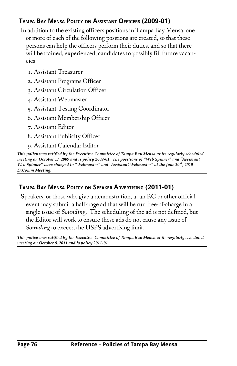# **TAMPA BAY MENSA POLICY ON ASSISTANT OFFICERS (2009-01)**

In addition to the existing officers positions in Tampa Bay Mensa, one or more of each of the following positions are created, so that these persons can help the officers perform their duties, and so that there will be trained, experienced, candidates to possibly fill future vacancies:

- 1. Assistant Treasurer
- 2. Assistant Programs Officer
- 3. Assistant Circulation Officer
- 4. Assistant Webmaster
- 5. Assistant Testing Coordinator
- 6. Assistant Membership Officer
- 7. Assistant Editor
- 8. Assistant Publicity Officer
- 9. Assistant Calendar Editor

*This policy was ratified by the Executive Committee of Tampa Bay Mensa at its regularly scheduled* meeting on October 17, 2009 and is policy 2009-01. The positions of "Web Spinner" and "Assistant *Web Spinner" were changed to "Webmaster" and "Assistant Webmaster" at the June 20 th, 2010 ExComm Meeting.*

# **TAMPA BAY MENSA POLICY ON SPEAKER ADVERTISING (2011-01)**

Speakers, or those who give a demonstration, at an RG or other official event may submit a half-page ad that will be run free-of-charge in a single issue of *Sounding*. The scheduling of the ad is not defined, but the Editor will work to ensure these ads do not cause any issue of *Sounding* to exceed the USPS advertising limit.

*This policy was ratified by the Executive Committee of Tampa Bay Mensa at its regularly scheduled* meeting on October 8, 2011 and is policy 2011-01.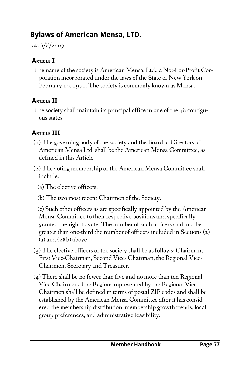*rev. 6/8/2009*

# **ARTICLE I**

The name of the society is American Mensa, Ltd., a Not-For-Profit Corporation incorporated under the laws of the State of New York on February 10, 1971. The society is commonly known as Mensa.

# **ARTICLE II**

The society shall maintain its principal office in one of the 48 contiguous states.

# **ARTICLE III**

- (1) The governing body of the society and the Board of Directors of American Mensa Ltd. shall be the American Mensa Committee, as defined in this Article.
- (2) The voting membership of the American Mensa Committee shall include:
	- (a) The elective officers.
	- (b) The two most recent Chairmen of the Society.

 (c) Such other officers as are specifically appointed by the American Mensa Committee to their respective positions and specifically granted the right to vote. The number of such officers shall not be greater than one-third the number of officers included in Sections (2)  $(a)$  and  $(a)(b)$  above.

- (3) The elective officers of the society shall be as follows: Chairman, First Vice-Chairman, Second Vice- Chairman, the Regional Vice-Chairmen, Secretary and Treasurer.
- (4) There shall be no fewer than five and no more than ten Regional Vice-Chairmen. The Regions represented by the Regional Vice-Chairmen shall be defined in terms of postal ZIP codes and shall be established by the American Mensa Committee after it has considered the membership distribution, membership growth trends, local group preferences, and administrative feasibility.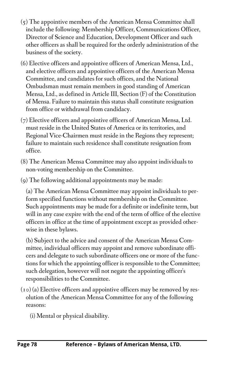- (5) The appointive members of the American Mensa Committee shall include the following: Membership Officer, Communications Officer, Director of Science and Education, Development Officer and such other officers as shall be required for the orderly administration of the business of the society.
- (6) Elective officers and appointive officers of American Mensa, Ltd., and elective officers and appointive officers of the American Mensa Committee, and candidates for such offices, and the National Ombudsman must remain members in good standing of American Mensa, Ltd., as defined in Article III, Section (F) of the Constitution of Mensa. Failure to maintain this status shall constitute resignation from office or withdrawal from candidacy.
- (7) Elective officers and appointive officers of American Mensa, Ltd. must reside in the United States of America or its territories, and Regional Vice-Chairmen must reside in the Regions they represent; failure to maintain such residence shall constitute resignation from office.
- (8) The American Mensa Committee may also appoint individuals to non-voting membership on the Committee.
- (9) The following additional appointments may be made:

 (a) The American Mensa Committee may appoint individuals to perform specified functions without membership on the Committee. Such appointments may be made for a definite or indefinite term, but will in any case expire with the end of the term of office of the elective officers in office at the time of appointment except as provided otherwise in these bylaws.

 (b) Subject to the advice and consent of the American Mensa Committee, individual officers may appoint and remove subordinate officers and delegate to such subordinate officers one or more of the functions for which the appointing officer is responsible to the Committee; such delegation, however will not negate the appointing officer's responsibilities to the Committee.

- $(10)(a)$  Elective officers and appointive officers may be removed by resolution of the American Mensa Committee for any of the following reasons:
	- (i) Mental or physical disability.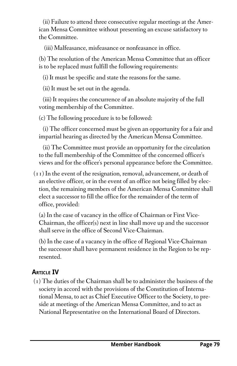(ii) Failure to attend three consecutive regular meetings at the American Mensa Committee without presenting an excuse satisfactory to the Committee.

(iii) Malfeasance, misfeasance or nonfeasance in office.

 (b) The resolution of the American Mensa Committee that an officer is to be replaced must fulfill the following requirements:

(i) It must be specific and state the reasons for the same.

(ii) It must be set out in the agenda.

 (iii) It requires the concurrence of an absolute majority of the full voting membership of the Committee.

(c) The following procedure is to be followed:

 (i) The officer concerned must be given an opportunity for a fair and impartial hearing as directed by the American Mensa Committee.

 (ii) The Committee must provide an opportunity for the circulation to the full membership of the Committee of the concerned officer's views and for the officer's personal appearance before the Committee.

 $(11)$  In the event of the resignation, removal, advancement, or death of an elective officer, or in the event of an office not being filled by election, the remaining members of the American Mensa Committee shall elect a successor to fill the office for the remainder of the term of office, provided:

 (a) In the case of vacancy in the office of Chairman or First Vice-Chairman, the officer(s) next in line shall move up and the successor shall serve in the office of Second Vice-Chairman.

 (b) In the case of a vacancy in the office of Regional Vice-Chairman the successor shall have permanent residence in the Region to be represented.

# **ARTICLE IV**

(1) The duties of the Chairman shall be to administer the business of the society in accord with the provisions of the Constitution of International Mensa, to act as Chief Executive Officer to the Society, to preside at meetings of the American Mensa Committee, and to act as National Representative on the International Board of Directors.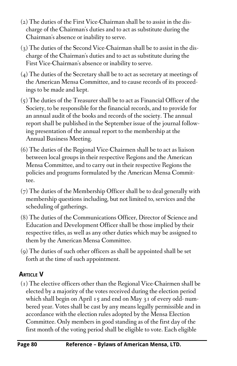- (2) The duties of the First Vice-Chairman shall be to assist in the discharge of the Chairman's duties and to act as substitute during the Chairman's absence or inability to serve.
- (3) The duties of the Second Vice-Chairman shall be to assist in the discharge of the Chairman's duties and to act as substitute during the First Vice-Chairman's absence or inability to serve.
- (4) The duties of the Secretary shall be to act as secretary at meetings of the American Mensa Committee, and to cause records of its proceedings to be made and kept.
- (5) The duties of the Treasurer shall be to act as Financial Officer of the Society, to be responsible for the financial records, and to provide for an annual audit of the books and records of the society. The annual report shall be published in the September issue of the journal following presentation of the annual report to the membership at the Annual Business Meeting.
- (6) The duties of the Regional Vice-Chairmen shall be to act as liaison between local groups in their respective Regions and the American Mensa Committee, and to carry out in their respective Regions the policies and programs formulated by the American Mensa Committee.
- (7) The duties of the Membership Officer shall be to deal generally with membership questions including, but not limited to, services and the scheduling of gatherings.
- (8) The duties of the Communications Officer, Director of Science and Education and Development Officer shall be those implied by their respective titles, as well as any other duties which may be assigned to them by the American Mensa Committee.
- (9) The duties of such other officers as shall be appointed shall be set forth at the time of such appointment.

# **ARTICLE V**

(1) The elective officers other than the Regional Vice-Chairmen shall be elected by a majority of the votes received during the election period which shall begin on April 15 and end on May 31 of every odd- numbered year. Votes shall be cast by any means legally permissible and in accordance with the election rules adopted by the Mensa Election Committee. Only members in good standing as of the first day of the first month of the voting period shall be eligible to vote. Each eligible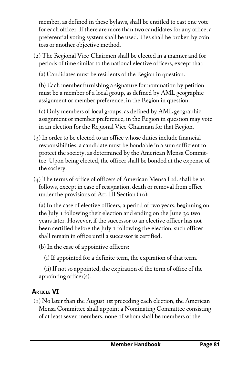member, as defined in these bylaws, shall be entitled to cast one vote for each officer. If there are more than two candidates for any office, a preferential voting system shall be used. Ties shall be broken by coin toss or another objective method.

(2) The Regional Vice-Chairmen shall be elected in a manner and for periods of time similar to the national elective officers, except that:

(a) Candidates must be residents of the Region in question.

 (b) Each member furnishing a signature for nomination by petition must be a member of a local group, as defined by AML geographic assignment or member preference, in the Region in question.

 (c) Only members of local groups, as defined by AML geographic assignment or member preference, in the Region in question may vote in an election for the Regional Vice-Chairman for that Region.

- (3) In order to be elected to an office whose duties include financial responsibilities, a candidate must be bondable in a sum sufficient to protect the society, as determined by the American Mensa Committee. Upon being elected, the officer shall be bonded at the expense of the society.
- (4) The terms of office of officers of American Mensa Ltd. shall be as follows, except in case of resignation, death or removal from office under the provisions of Art. III Section  $(10)$ :

 (a) In the case of elective officers, a period of two years, beginning on the July 1 following their election and ending on the June 30 two years later. However, if the successor to an elective officer has not been certified before the July 1 following the election, such officer shall remain in office until a successor is certified.

(b) In the case of appointive officers:

(i) If appointed for a definite term, the expiration of that term.

 (ii) If not so appointed, the expiration of the term of office of the appointing officer(s).

# **ARTICLE VI**

(1) No later than the August 1st preceding each election, the American Mensa Committee shall appoint a Nominating Committee consisting of at least seven members, none of whom shall be members of the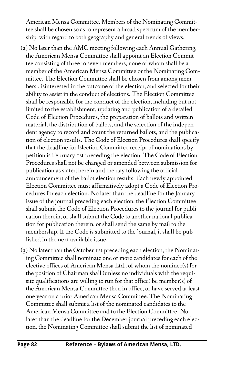American Mensa Committee. Members of the Nominating Committee shall be chosen so as to represent a broad spectrum of the membership, with regard to both geography and general trends of views.

- (2) No later than the AMC meeting following each Annual Gathering, the American Mensa Committee shall appoint an Election Committee consisting of three to seven members, none of whom shall be a member of the American Mensa Committee or the Nominating Committee. The Election Committee shall be chosen from among members disinterested in the outcome of the election, and selected for their ability to assist in the conduct of elections. The Election Committee shall be responsible for the conduct of the election, including but not limited to the establishment, updating and publication of a detailed Code of Election Procedures, the preparation of ballots and written material, the distribution of ballots, and the selection of the independent agency to record and count the returned ballots, and the publication of election results. The Code of Election Procedures shall specify that the deadline for Election Committee receipt of nominations by petition is February 1st preceding the election. The Code of Election Procedures shall not be changed or amended between submission for publication as stated herein and the day following the official announcement of the ballot election results. Each newly appointed Election Committee must affirmatively adopt a Code of Election Procedures for each election. No later than the deadline for the January issue of the journal preceding each election, the Election Committee shall submit the Code of Election Procedures to the journal for publication therein, or shall submit the Code to another national publication for publication therein, or shall send the same by mail to the membership. If the Code is submitted to the journal, it shall be published in the next available issue.
- (3) No later than the October 1st preceding each election, the Nominating Committee shall nominate one or more candidates for each of the elective offices of American Mensa Ltd., of whom the nominee(s) for the position of Chairman shall (unless no individuals with the requisite qualifications are willing to run for that office) be member(s) of the American Mensa Committee then in office, or have served at least one year on a prior American Mensa Committee. The Nominating Committee shall submit a list of the nominated candidates to the American Mensa Committee and to the Election Committee. No later than the deadline for the December journal preceding each election, the Nominating Committee shall submit the list of nominated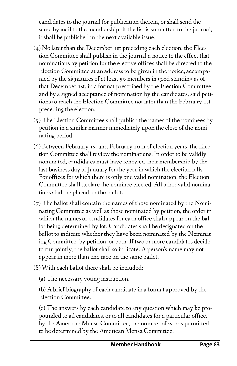candidates to the journal for publication therein, or shall send the same by mail to the membership. If the list is submitted to the journal, it shall be published in the next available issue.

- (4) No later than the December 1st preceding each election, the Election Committee shall publish in the journal a notice to the effect that nominations by petition for the elective offices shall be directed to the Election Committee at an address to be given in the notice, accompanied by the signatures of at least 50 members in good standing as of that December 1st, in a format prescribed by the Election Committee, and by a signed acceptance of nomination by the candidates, said petitions to reach the Election Committee not later than the February 1st preceding the election.
- (5) The Election Committee shall publish the names of the nominees by petition in a similar manner immediately upon the close of the nominating period.
- (6) Between February 1st and February 10th of election years, the Election Committee shall review the nominations. In order to be validly nominated, candidates must have renewed their membership by the last business day of January for the year in which the election falls. For offices for which there is only one valid nomination, the Election Committee shall declare the nominee elected. All other valid nominations shall be placed on the ballot.
- (7) The ballot shall contain the names of those nominated by the Nominating Committee as well as those nominated by petition, the order in which the names of candidates for each office shall appear on the ballot being determined by lot. Candidates shall be designated on the ballot to indicate whether they have been nominated by the Nominating Committee, by petition, or both. If two or more candidates decide to run jointly, the ballot shall so indicate. A person's name may not appear in more than one race on the same ballot.
- (8) With each ballot there shall be included:
	- (a) The necessary voting instruction.

 (b) A brief biography of each candidate in a format approved by the Election Committee.

 (c) The answers by each candidate to any question which may be propounded to all candidates, or to all candidates for a particular office, by the American Mensa Committee, the number of words permitted to be determined by the American Mensa Committee.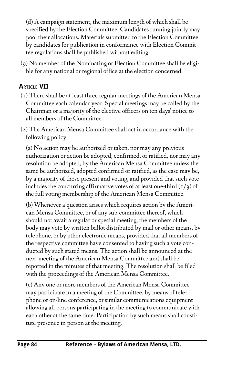(d) A campaign statement, the maximum length of which shall be specified by the Election Committee. Candidates running jointly may pool their allocations. Materials submitted to the Election Committee by candidates for publication in conformance with Election Committee regulations shall be published without editing.

(9) No member of the Nominating or Election Committee shall be eligible for any national or regional office at the election concerned.

# **ARTICLE VII**

- (1) There shall be at least three regular meetings of the American Mensa Committee each calendar year. Special meetings may be called by the Chairman or a majority of the elective officers on ten days' notice to all members of the Committee.
- (2) The American Mensa Committee shall act in accordance with the following policy:

 (a) No action may be authorized or taken, nor may any previous authorization or action be adopted, confirmed, or ratified, nor may any resolution be adopted, by the American Mensa Committee unless the same be authorized, adopted confirmed or ratified, as the case may be, by a majority of those present and voting, and provided that such vote includes the concurring affirmative votes of at least one-third  $(1/3)$  of the full voting membership of the American Mensa Committee.

 (b) Whenever a question arises which requires action by the American Mensa Committee, or of any sub-committee thereof, which should not await a regular or special meeting, the members of the body may vote by written ballot distributed by mail or other means, by telephone, or by other electronic means, provided that all members of the respective committee have consented to having such a vote conducted by such stated means. The action shall be announced at the next meeting of the American Mensa Committee and shall be reported in the minutes of that meeting. The resolution shall be filed with the proceedings of the American Mensa Committee.

 (c) Any one or more members of the American Mensa Committee may participate in a meeting of the Committee, by means of telephone or on-line conference, or similar communications equipment allowing all persons participating in the meeting to communicate with each other at the same time. Participation by such means shall constitute presence in person at the meeting.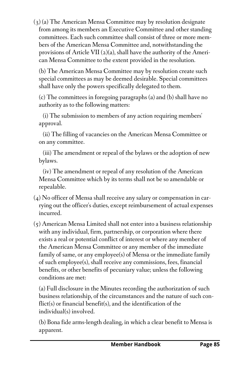(3) (a) The American Mensa Committee may by resolution designate from among its members an Executive Committee and other standing committees. Each such committee shall consist of three or more members of the American Mensa Committee and, notwithstanding the provisions of Article VII  $(2)(a)$ , shall have the authority of the American Mensa Committee to the extent provided in the resolution.

 (b) The American Mensa Committee may by resolution create such special committees as may be deemed desirable. Special committees shall have only the powers specifically delegated to them.

 (c) The committees in foregoing paragraphs (a) and (b) shall have no authority as to the following matters:

 (i) The submission to members of any action requiring members' approval.

 (ii) The filling of vacancies on the American Mensa Committee or on any committee.

 (iii) The amendment or repeal of the bylaws or the adoption of new bylaws.

 (iv) The amendment or repeal of any resolution of the American Mensa Committee which by its terms shall not be so amendable or repealable.

- (4) No officer of Mensa shall receive any salary or compensation in carrying out the officer's duties, except reimbursement of actual expenses incurred.
- (5) American Mensa Limited shall not enter into a business relationship with any individual, firm, partnership, or corporation where there exists a real or potential conflict of interest or where any member of the American Mensa Committee or any member of the immediate family of same, or any employee(s) of Mensa or the immediate family of such employee(s), shall receive any commissions, fees, financial benefits, or other benefits of pecuniary value; unless the following conditions are met:

 (a) Full disclosure in the Minutes recording the authorization of such business relationship, of the circumstances and the nature of such conflict(s) or financial benefit(s), and the identification of the individual(s) involved.

 (b) Bona fide arms-length dealing, in which a clear benefit to Mensa is apparent.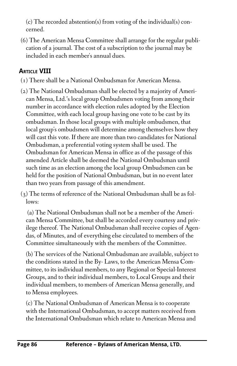(c) The recorded abstention(s) from voting of the individual(s) concerned.

(6) The American Mensa Committee shall arrange for the regular publication of a journal. The cost of a subscription to the journal may be included in each member's annual dues.

# **ARTICLE VIII**

- (1) There shall be a National Ombudsman for American Mensa.
- (2) The National Ombudsman shall be elected by a majority of American Mensa, Ltd.'s local group Ombudsmen voting from among their number in accordance with election rules adopted by the Election Committee, with each local group having one vote to be cast by its ombudsman. In those local groups with multiple ombudsmen, that local group's ombudsmen will determine among themselves how they will cast this vote. If there are more than two candidates for National Ombudsman, a preferential voting system shall be used. The Ombudsman for American Mensa in office as of the passage of this amended Article shall be deemed the National Ombudsman until such time as an election among the local group Ombudsmen can be held for the position of National Ombudsman, but in no event later than two years from passage of this amendment.

(3) The terms of reference of the National Ombudsman shall be as follows:

 (a) The National Ombudsman shall not be a member of the American Mensa Committee, but shall be accorded every courtesy and privilege thereof. The National Ombudsman shall receive copies of Agendas, of Minutes, and of everything else circulated to members of the Committee simultaneously with the members of the Committee.

 (b) The services of the National Ombudsman are available, subject to the conditions stated in the By- Laws, to the American Mensa Committee, to its individual members, to any Regional or Special-Interest Groups, and to their individual members, to Local Groups and their individual members, to members of American Mensa generally, and to Mensa employees.

 (c) The National Ombudsman of American Mensa is to cooperate with the International Ombudsman, to accept matters received from the International Ombudsman which relate to American Mensa and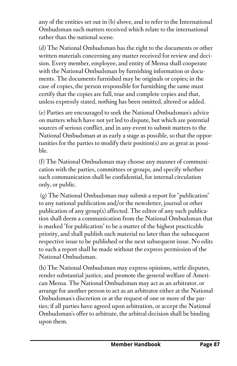any of the entities set out in (b) above, and to refer to the International Ombudsman such matters received which relate to the international rather than the national scene.

 (d) The National Ombudsman has the right to the documents or other written materials concerning any matter received for review and decision. Every member, employee, and entity of Mensa shall cooperate with the National Ombudsman by furnishing information or documents. The documents furnished may be originals or copies; in the case of copies, the person responsible for furnishing the same must certify that the copies are full, true and complete copies and that, unless expressly stated, nothing has been omitted, altered or added.

 (e) Parties are encouraged to seek the National Ombudsman's advice on matters which have not yet led to dispute, but which are potential sources of serious conflict, and in any event to submit matters to the National Ombudsman at as early a stage as possible, so that the opportunities for the parties to modify their position(s) are as great as possible.

 (f) The National Ombudsman may choose any manner of communication with the parties, committees or groups, and specify whether such communication shall be confidential, for internal circulation only, or public.

 (g) The National Ombudsman may submit a report for "publication" to any national publication and/or the newsletter, journal or other publication of any group(s) affected. The editor of any such publication shall deem a communication from the National Ombudsman that is marked "for publication" to be a matter of the highest practicable priority, and shall publish such material no later than the subsequent respective issue to be published or the next subsequent issue. No edits to such a report shall be made without the express permission of the National Ombudsman.

 (h) The National Ombudsman may express opinions, settle disputes, render substantial justice, and promote the general welfare of American Mensa. The National Ombudsman may act as an arbitrator, or arrange for another person to act as an arbitrator either at the National Ombudsman's discretion or at the request of one or more of the parties; if all parties have agreed upon arbitration, or accept the National Ombudsman's offer to arbitrate, the arbitral decision shall be binding upon them.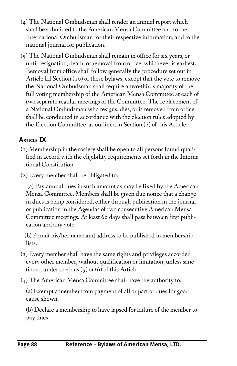- (4) The National Ombudsman shall render an annual report which shall be submitted to the American Mensa Committee and to the International Ombudsman for their respective information, and to the national journal for publication.
- (5) The National Ombudsman shall remain in office for six years, or until resignation, death, or removal from office, whichever is earliest. Removal from office shall follow generally the procedure set out in Article III Section (10) of these bylaws, except that the vote to remove the National Ombudsman shall require a two-thirds majority of the full voting membership of the American Mensa Committee at each of two separate regular meetings of the Committee. The replacement of a National Ombudsman who resigns, dies, or is removed from office shall be conducted in accordance with the election rules adopted by the Election Committee, as outlined in Section (2) of this Article.

## **ARTICLE IX**

- (1) Membership in the society shall be open to all persons found qualified in accord with the eligibility requirements set forth in the International Constitution.
- (2) Every member shall be obligated to:

 (a) Pay annual dues in such amount as may be fixed by the American Mensa Committee. Members shall be given due notice that a change in dues is being considered, either through publication in the journal or publication in the Agendas of two consecutive American Mensa Committee meetings. At least 60 days shall pass between first publication and any vote.

 (b) Permit his/her name and address to be published in membership lists.

- (3) Every member shall have the same rights and privileges accorded every other member, without qualification or limitation, unless sanctioned under sections  $(5)$  or  $(6)$  of this Article.
- (4) The American Mensa Committee shall have the authority to:

 (a) Exempt a member from payment of all or part of dues for good cause shown.

 (b) Declare a membership to have lapsed for failure of the member to pay dues.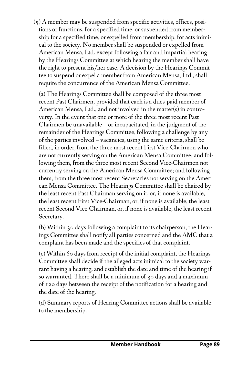(5) A member may be suspended from specific activities, offices, positions or functions, for a specified time, or suspended from membership for a specified time, or expelled from membership, for acts inimical to the society. No member shall be suspended or expelled from American Mensa, Ltd. except following a fair and impartial hearing by the Hearings Committee at which hearing the member shall have the right to present his/her case. A decision by the Hearings Committee to suspend or expel a member from American Mensa, Ltd., shall require the concurrence of the American Mensa Committee.

 (a) The Hearings Committee shall be composed of the three most recent Past Chairmen, provided that each is a dues-paid member of American Mensa, Ltd., and not involved in the matter(s) in controversy. In the event that one or more of the three most recent Past Chairmen be unavailable -- or incapacitated, in the judgment of the remainder of the Hearings Committee, following a challenge by any of the parties involved -- vacancies, using the same criteria, shall be filled, in order, from the three most recent First Vice-Chairmen who are not currently serving on the American Mensa Committee; and following them, from the three most recent Second Vice-Chairmen not currently serving on the American Mensa Committee; and following them, from the three most recent Secretaries not serving on the Ameri can Mensa Committee. The Hearings Committee shall be chaired by the least recent Past Chairman serving on it, or, if none is available, the least recent First Vice-Chairman, or, if none is available, the least recent Second Vice-Chairman, or, if none is available, the least recent Secretary.

 (b) Within 30 days following a complaint to its chairperson, the Hearings Committee shall notify all parties concerned and the AMC that a complaint has been made and the specifics of that complaint.

 (c) Within 60 days from receipt of the initial complaint, the Hearings Committee shall decide if the alleged acts inimical to the society warrant having a hearing, and establish the date and time of the hearing if so warranted. There shall be a minimum of 30 days and a maximum of 120 days between the receipt of the notification for a hearing and the date of the hearing.

 (d) Summary reports of Hearing Committee actions shall be available to the membership.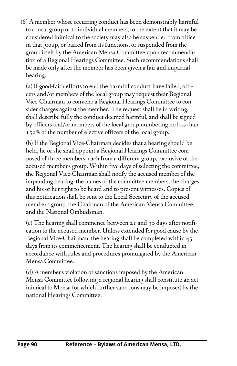(6) A member whose recurring conduct has been demonstrably harmful to a local group or to individual members, to the extent that it may be considered inimical to the society may also be suspended from office in that group, or barred from its functions, or suspended from the group itself by the American Mensa Committee upon recommendation of a Regional Hearings Committee. Such recommendations shall be made only after the member has been given a fair and impartial hearing.

 (a) If good-faith efforts to end the harmful conduct have failed, officers and/or members of the local group may request their Regional Vice-Chairman to convene a Regional Hearings Committee to consider charges against the member. The request shall be in writing, shall describe fully the conduct deemed harmful, and shall be signed by officers and/or members of the local group numbering no less than 150% of the number of elective officers of the local group.

 (b) If the Regional Vice-Chairman decides that a hearing should be held, he or she shall appoint a Regional Hearings Committee composed of three members, each from a different group, exclusive of the accused member's group. Within five days of selecting the committee, the Regional Vice-Chairman shall notify the accused member of the impending hearing, the names of the committee members, the charges, and his or her right to be heard and to present witnesses. Copies of this notification shall be sent to the Local Secretary of the accused member's group, the Chairman of the American Mensa Committee, and the National Ombudsman.

 (c) The hearing shall commence between 21 and 30 days after notification to the accused member. Unless extended for good cause by the Regional Vice-Chairman, the hearing shall be completed within 45 days from its commencement. The hearing shall be conducted in accordance with rules and procedures promulgated by the American Mensa Committee.

 (d) A member's violation of sanctions imposed by the American Mensa Committee following a regional hearing shall constitute an act inimical to Mensa for which further sanctions may be imposed by the national Hearings Committee.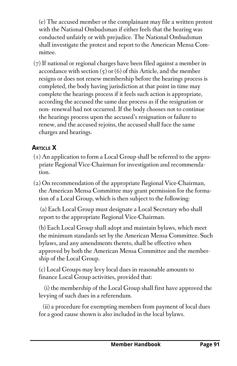(e) The accused member or the complainant may file a written protest with the National Ombudsman if either feels that the hearing was conducted unfairly or with prejudice. The National Ombudsman shall investigate the protest and report to the American Mensa Committee.

(7) If national or regional charges have been filed against a member in accordance with section  $(5)$  or  $(6)$  of this Article, and the member resigns or does not renew membership before the hearings process is completed, the body having jurisdiction at that point in time may complete the hearings process if it feels such action is appropriate, according the accused the same due process as if the resignation or non- renewal had not occurred. If the body chooses not to continue the hearings process upon the accused's resignation or failure to renew, and the accused rejoins, the accused shall face the same charges and hearings.

# **ARTICLE X**

- (1) An application to form a Local Group shall be referred to the appropriate Regional Vice-Chairman for investigation and recommendation.
- (2) On recommendation of the appropriate Regional Vice-Chairman, the American Mensa Committee may grant permission for the formation of a Local Group, which is then subject to the following:

 (a) Each Local Group must designate a Local Secretary who shall report to the appropriate Regional Vice-Chairman.

 (b) Each Local Group shall adopt and maintain bylaws, which meet the minimum standards set by the American Mensa Committee. Such bylaws, and any amendments thereto, shall be effective when approved by both the American Mensa Committee and the membership of the Local Group.

 (c) Local Groups may levy local dues in reasonable amounts to finance Local Group activities, provided that:

 (i) the membership of the Local Group shall first have approved the levying of such dues in a referendum.

 (ii) a procedure for exempting members from payment of local dues for a good cause shown is also included in the local bylaws.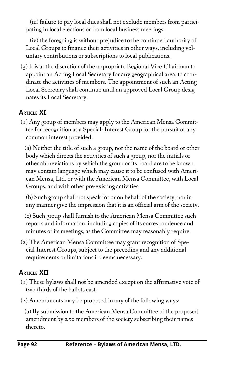(iii) failure to pay local dues shall not exclude members from participating in local elections or from local business meetings.

 (iv) the foregoing is without prejudice to the continued authority of Local Groups to finance their activities in other ways, including voluntary contributions or subscriptions to local publications.

(3) It is at the discretion of the appropriate Regional Vice-Chairman to appoint an Acting Local Secretary for any geographical area, to coordinate the activities of members. The appointment of such an Acting Local Secretary shall continue until an approved Local Group designates its Local Secretary.

## **ARTICLE XI**

(1) Any group of members may apply to the American Mensa Committee for recognition as a Special- Interest Group for the pursuit of any common interest provided:

 (a) Neither the title of such a group, nor the name of the board or other body which directs the activities of such a group, nor the initials or other abbreviations by which the group or its board are to be known may contain language which may cause it to be confused with American Mensa, Ltd. or with the American Mensa Committee, with Local Groups, and with other pre-existing activities.

 (b) Such group shall not speak for or on behalf of the society, nor in any manner give the impression that it is an official arm of the society.

 (c) Such group shall furnish to the American Mensa Committee such reports and information, including copies of its correspondence and minutes of its meetings, as the Committee may reasonably require.

(2) The American Mensa Committee may grant recognition of Special-Interest Groups, subject to the preceding and any additional requirements or limitations it deems necessary.

### **ARTICLE XII**

- (1) These bylaws shall not be amended except on the affirmative vote of two-thirds of the ballots cast.
- (2) Amendments may be proposed in any of the following ways:

 (a) By submission to the American Mensa Committee of the proposed amendment by 250 members of the society subscribing their names thereto.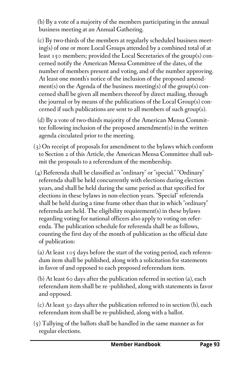(b) By a vote of a majority of the members participating in the annual business meeting at an Annual Gathering.

 (c) By two-thirds of the members at regularly scheduled business meeting(s) of one or more Local Groups attended by a combined total of at least 150 members; provided the Local Secretaries of the group(s) concerned notify the American Mensa Committee of the dates, of the number of members present and voting, and of the number approving. At least one month's notice of the inclusion of the proposed amendment(s) on the Agenda of the business meeting(s) of the group(s) concerned shall be given all members thereof by direct mailing, through the journal or by means of the publications of the Local Group(s) concerned if such publications are sent to all members of such group(s).

 (d) By a vote of two-thirds majority of the American Mensa Committee following inclusion of the proposed amendment(s) in the written agenda circulated prior to the meeting.

- (3) On receipt of proposals for amendment to the bylaws which conform to Section 2 of this Article, the American Mensa Committee shall submit the proposals to a referendum of the membership.
- (4) Referenda shall be classified as "ordinary" or "special." "Ordinary" referenda shall be held concurrently with elections during election years, and shall be held during the same period as that specified for elections in these bylaws in non-election years. "Special" referenda shall be held during a time frame other than that in which "ordinary" referenda are held. The eligibility requirement(s) in these bylaws regarding voting for national officers also apply to voting on referenda. The publication schedule for referenda shall be as follows, counting the first day of the month of publication as the official date of publication:

 (a) At least 105 days before the start of the voting period, each referendum item shall be published, along with a solicitation for statements in favor of and opposed to each proposed referendum item.

 (b) At least 60 days after the publication referred in section (a), each referendum item shall be re -published, along with statements in favor and opposed.

 (c) At least 30 days after the publication referred to in section (b), each referendum item shall be re-published, along with a ballot.

(5) Tallying of the ballots shall be handled in the same manner as for regular elections.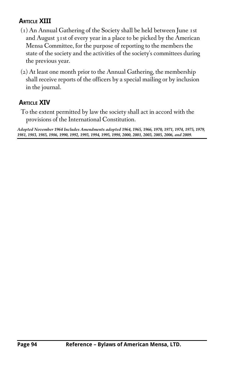# **ARTICLE XIII**

- (1) An Annual Gathering of the Society shall be held between June 1st and August 31st of every year in a place to be picked by the American Mensa Committee, for the purpose of reporting to the members the state of the society and the activities of the society's committees during the previous year.
- (2) At least one month prior to the Annual Gathering, the membership shall receive reports of the officers by a special mailing or by inclusion in the journal.

### **ARTICLE XIV**

To the extent permitted by law the society shall act in accord with the provisions of the International Constitution.

*Adopted November 1964 Includes Amendments adopted 1964, 1965, 1966, 1970, 1971, 1974, 1975, 1979, 1981, 1983, 1985, 1986, 1990, 1992, 1993, 1994, 1995, 1998, 2000, 2001, 2003, 2005, 2006, and 2009.*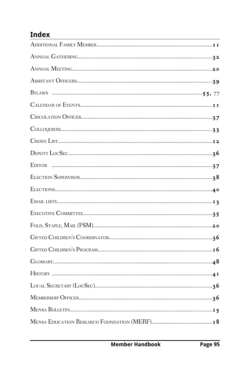# **Index**